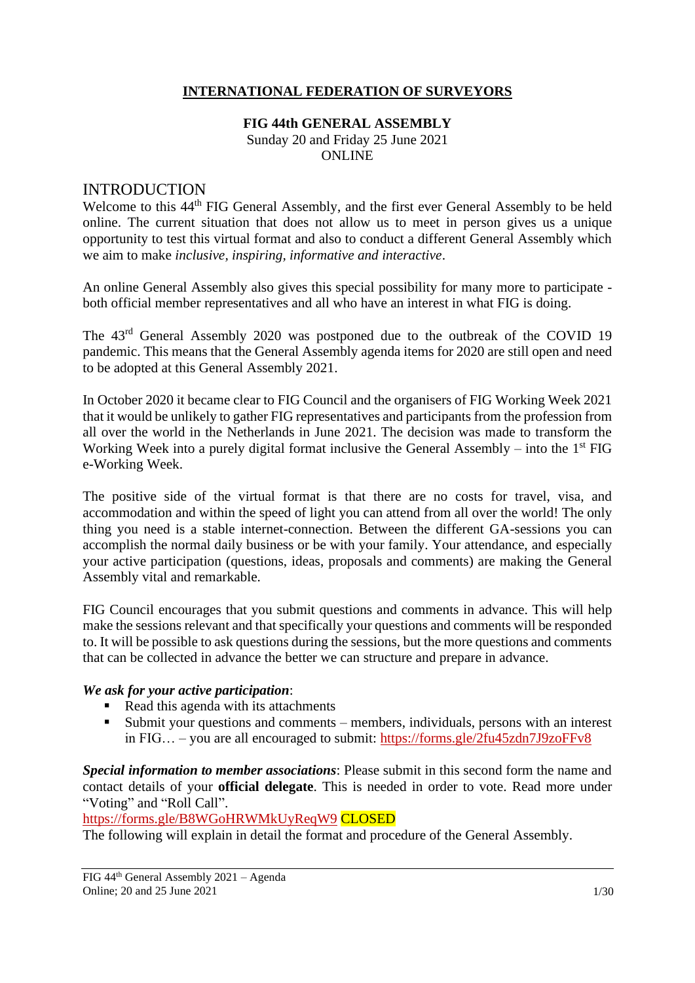## **INTERNATIONAL FEDERATION OF SURVEYORS**

#### **FIG 44th GENERAL ASSEMBLY** Sunday 20 and Friday 25 June 2021 ONLINE

#### INTRODUCTION

Welcome to this 44<sup>th</sup> FIG General Assembly, and the first ever General Assembly to be held online. The current situation that does not allow us to meet in person gives us a unique opportunity to test this virtual format and also to conduct a different General Assembly which we aim to make *inclusive, inspiring, informative and interactive*.

An online General Assembly also gives this special possibility for many more to participate both official member representatives and all who have an interest in what FIG is doing.

The 43rd General Assembly 2020 was postponed due to the outbreak of the COVID 19 pandemic. This means that the General Assembly agenda items for 2020 are still open and need to be adopted at this General Assembly 2021.

In October 2020 it became clear to FIG Council and the organisers of FIG Working Week 2021 that it would be unlikely to gather FIG representatives and participants from the profession from all over the world in the Netherlands in June 2021. The decision was made to transform the Working Week into a purely digital format inclusive the General Assembly – into the  $1<sup>st</sup> FIG$ e-Working Week.

The positive side of the virtual format is that there are no costs for travel, visa, and accommodation and within the speed of light you can attend from all over the world! The only thing you need is a stable internet-connection. Between the different GA-sessions you can accomplish the normal daily business or be with your family. Your attendance, and especially your active participation (questions, ideas, proposals and comments) are making the General Assembly vital and remarkable.

FIG Council encourages that you submit questions and comments in advance. This will help make the sessions relevant and that specifically your questions and comments will be responded to. It will be possible to ask questions during the sessions, but the more questions and comments that can be collected in advance the better we can structure and prepare in advance.

#### *We ask for your active participation*:

- Read this agenda with its attachments
- Submit your questions and comments members, individuals, persons with an interest in FIG… – you are all encouraged to submit:<https://forms.gle/2fu45zdn7J9zoFFv8>

*Special information to member associations*: Please submit in this second form the name and contact details of your **official delegate**. This is needed in order to vote. Read more under "Voting" and "Roll Call".

<https://forms.gle/B8WGoHRWMkUyReqW9> CLOSED

The following will explain in detail the format and procedure of the General Assembly.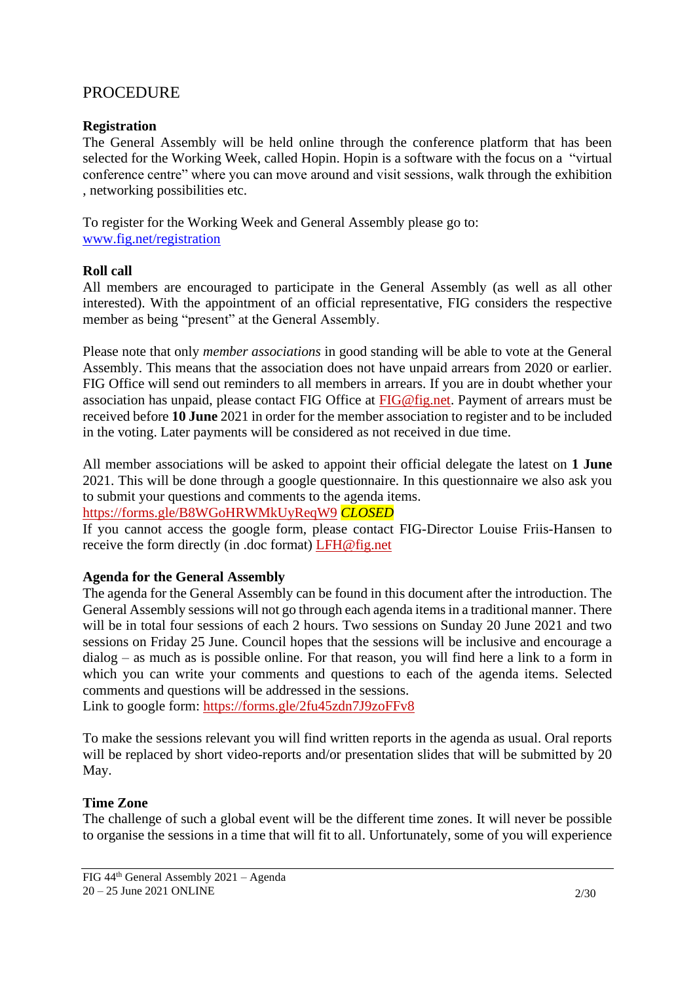## PROCEDURE

### **Registration**

The General Assembly will be held online through the conference platform that has been selected for the Working Week, called Hopin. Hopin is a software with the focus on a "virtual conference centre" where you can move around and visit sessions, walk through the exhibition , networking possibilities etc.

To register for the Working Week and General Assembly please go to: [www.fig.net/registration](http://www.fig.net/registration)

#### **Roll call**

All members are encouraged to participate in the General Assembly (as well as all other interested). With the appointment of an official representative, FIG considers the respective member as being "present" at the General Assembly.

Please note that only *member associations* in good standing will be able to vote at the General Assembly. This means that the association does not have unpaid arrears from 2020 or earlier. FIG Office will send out reminders to all members in arrears. If you are in doubt whether your association has unpaid, please contact FIG Office at [FIG@fig.net.](mailto:FIG@fig.net) Payment of arrears must be received before **10 June** 2021 in order for the member association to register and to be included in the voting. Later payments will be considered as not received in due time.

All member associations will be asked to appoint their official delegate the latest on **1 June**  2021. This will be done through a google questionnaire. In this questionnaire we also ask you to submit your questions and comments to the agenda items.

<https://forms.gle/B8WGoHRWMkUyReqW9> *CLOSED*

If you cannot access the google form, please contact FIG-Director Louise Friis-Hansen to receive the form directly (in .doc format) [LFH@fig.net](mailto:LFH@fig.net)

### **Agenda for the General Assembly**

The agenda for the General Assembly can be found in this document after the introduction. The General Assembly sessions will not go through each agenda items in a traditional manner. There will be in total four sessions of each 2 hours. Two sessions on Sunday 20 June 2021 and two sessions on Friday 25 June. Council hopes that the sessions will be inclusive and encourage a dialog – as much as is possible online. For that reason, you will find here a link to a form in which you can write your comments and questions to each of the agenda items. Selected comments and questions will be addressed in the sessions.

Link to google form:<https://forms.gle/2fu45zdn7J9zoFFv8>

To make the sessions relevant you will find written reports in the agenda as usual. Oral reports will be replaced by short video-reports and/or presentation slides that will be submitted by 20 May.

#### **Time Zone**

The challenge of such a global event will be the different time zones. It will never be possible to organise the sessions in a time that will fit to all. Unfortunately, some of you will experience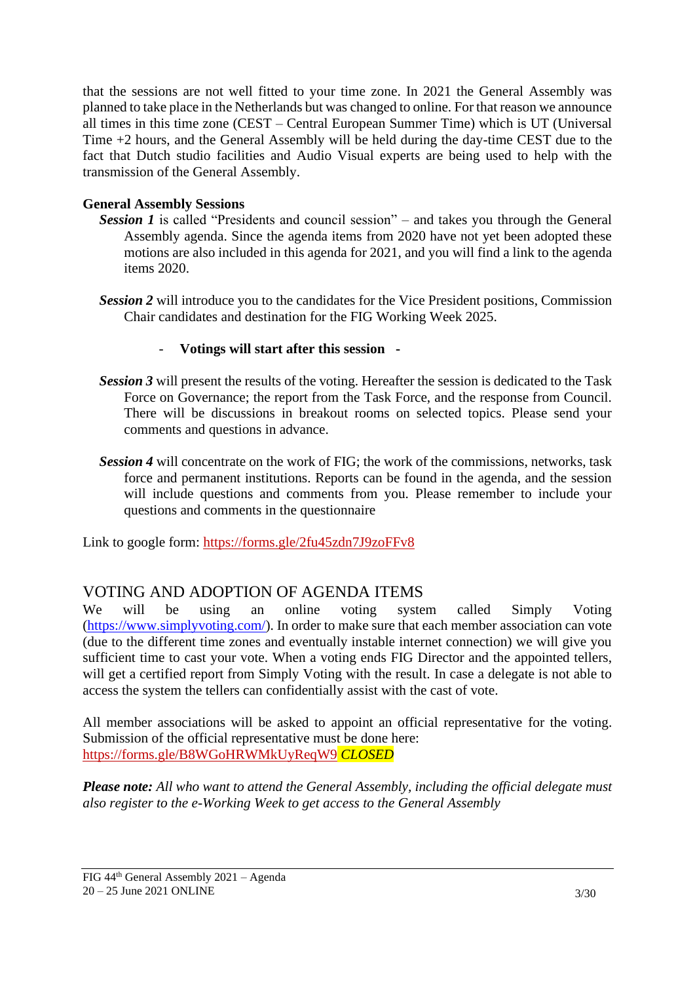that the sessions are not well fitted to your time zone. In 2021 the General Assembly was planned to take place in the Netherlands but was changed to online. For that reason we announce all times in this time zone (CEST – Central European Summer Time) which is UT (Universal Time +2 hours, and the General Assembly will be held during the day-time CEST due to the fact that Dutch studio facilities and Audio Visual experts are being used to help with the transmission of the General Assembly.

## **General Assembly Sessions**

- *Session 1* is called "Presidents and council session" and takes you through the General Assembly agenda. Since the agenda items from 2020 have not yet been adopted these motions are also included in this agenda for 2021, and you will find a link to the agenda items 2020.
- **Session 2** will introduce you to the candidates for the Vice President positions, Commission Chair candidates and destination for the FIG Working Week 2025.

### - **Votings will start after this session -**

- **Session 3** will present the results of the voting. Hereafter the session is dedicated to the Task Force on Governance; the report from the Task Force, and the response from Council. There will be discussions in breakout rooms on selected topics. Please send your comments and questions in advance.
- *Session 4* will concentrate on the work of FIG; the work of the commissions, networks, task force and permanent institutions. Reports can be found in the agenda, and the session will include questions and comments from you. Please remember to include your questions and comments in the questionnaire

Link to google form:<https://forms.gle/2fu45zdn7J9zoFFv8>

## VOTING AND ADOPTION OF AGENDA ITEMS

We will be using an online voting system called Simply Voting [\(https://www.simplyvoting.com/\)](https://www.simplyvoting.com/). In order to make sure that each member association can vote (due to the different time zones and eventually instable internet connection) we will give you sufficient time to cast your vote. When a voting ends FIG Director and the appointed tellers, will get a certified report from Simply Voting with the result. In case a delegate is not able to access the system the tellers can confidentially assist with the cast of vote.

All member associations will be asked to appoint an official representative for the voting. Submission of the official representative must be done here: <https://forms.gle/B8WGoHRWMkUyReqW9> *CLOSED*

*Please note: All who want to attend the General Assembly, including the official delegate must also register to the e-Working Week to get access to the General Assembly*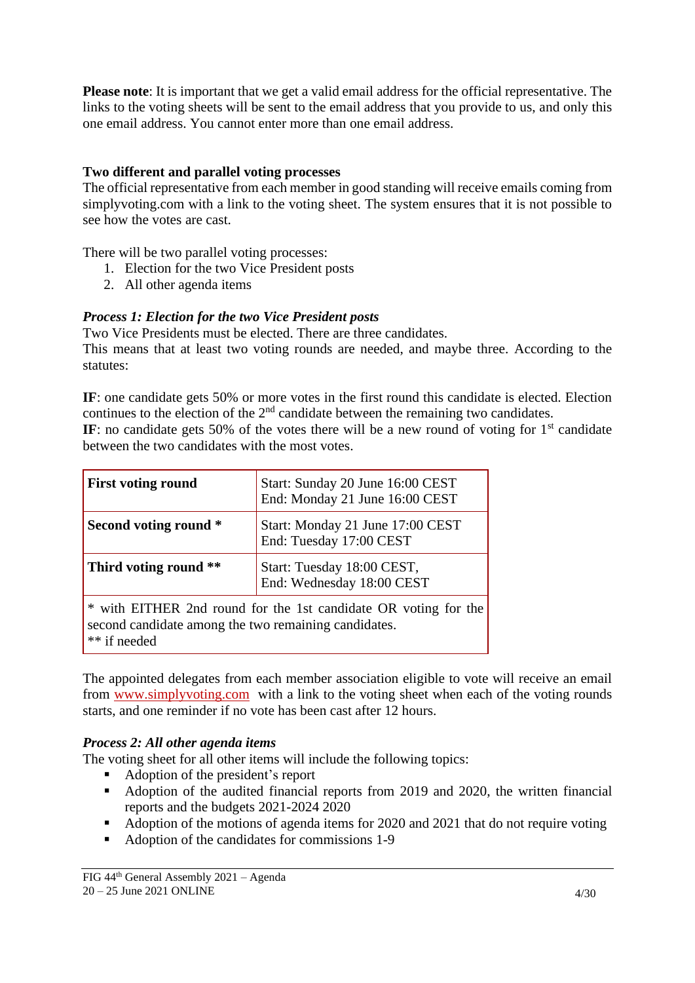**Please note**: It is important that we get a valid email address for the official representative. The links to the voting sheets will be sent to the email address that you provide to us, and only this one email address. You cannot enter more than one email address.

### **Two different and parallel voting processes**

The official representative from each member in good standing will receive emails coming from simplyvoting.com with a link to the voting sheet. The system ensures that it is not possible to see how the votes are cast.

There will be two parallel voting processes:

- 1. Election for the two Vice President posts
- 2. All other agenda items

### *Process 1: Election for the two Vice President posts*

Two Vice Presidents must be elected. There are three candidates.

This means that at least two voting rounds are needed, and maybe three. According to the statutes:

**IF**: one candidate gets 50% or more votes in the first round this candidate is elected. Election continues to the election of the  $2<sup>nd</sup>$  candidate between the remaining two candidates.

**IF**: no candidate gets 50% of the votes there will be a new round of voting for  $1<sup>st</sup>$  candidate between the two candidates with the most votes.

| <b>First voting round</b>                                            | Start: Sunday 20 June 16:00 CEST<br>End: Monday 21 June 16:00 CEST |  |
|----------------------------------------------------------------------|--------------------------------------------------------------------|--|
| Second voting round *                                                | Start: Monday 21 June 17:00 CEST<br>End: Tuesday 17:00 CEST        |  |
| Third voting round **                                                | Start: Tuesday 18:00 CEST,<br>End: Wednesday 18:00 CEST            |  |
| second candidate among the two remaining candidates.<br>** if needed | * with EITHER 2nd round for the 1st candidate OR voting for the    |  |

The appointed delegates from each member association eligible to vote will receive an email from [www.simplyvoting.com](http://www.simplyvoting.com/) with a link to the voting sheet when each of the voting rounds starts, and one reminder if no vote has been cast after 12 hours.

### *Process 2: All other agenda items*

The voting sheet for all other items will include the following topics:

- Adoption of the president's report
- Adoption of the audited financial reports from 2019 and 2020, the written financial reports and the budgets 2021-2024 2020
- Adoption of the motions of agenda items for 2020 and 2021 that do not require voting
- Adoption of the candidates for commissions 1-9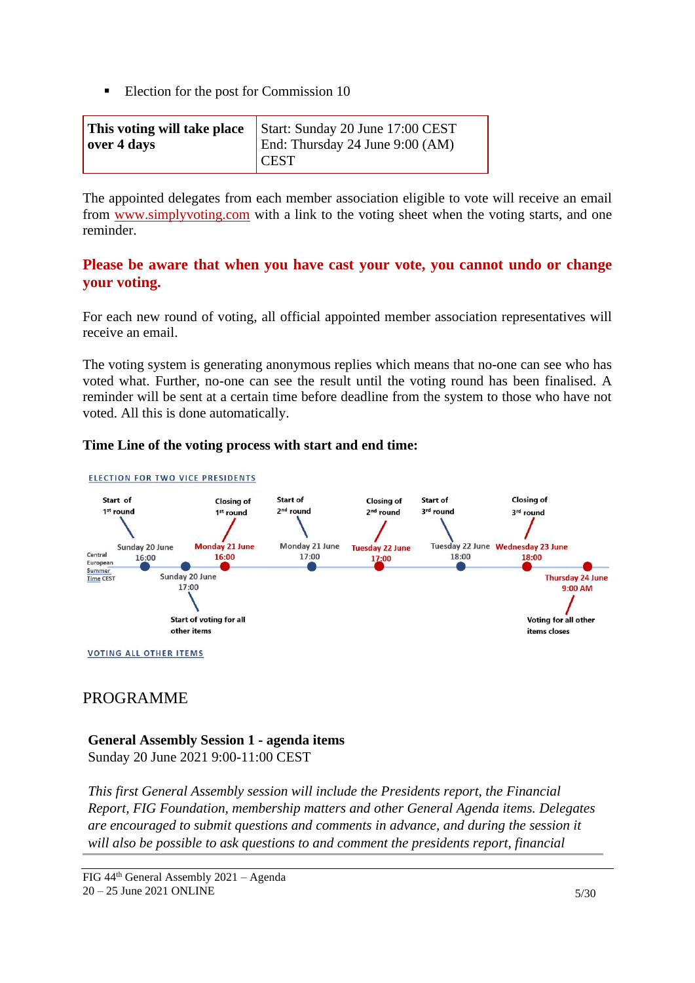Election for the post for Commission 10

|             | This voting will take place Start: Sunday 20 June 17:00 CEST |
|-------------|--------------------------------------------------------------|
| over 4 days | End: Thursday 24 June 9:00 (AM)                              |
|             | $ $ CEST                                                     |

The appointed delegates from each member association eligible to vote will receive an email from [www.simplyvoting.com](http://www.simplyvoting.com/) with a link to the voting sheet when the voting starts, and one reminder.

## **Please be aware that when you have cast your vote, you cannot undo or change your voting.**

For each new round of voting, all official appointed member association representatives will receive an email.

The voting system is generating anonymous replies which means that no-one can see who has voted what. Further, no-one can see the result until the voting round has been finalised. A reminder will be sent at a certain time before deadline from the system to those who have not voted. All this is done automatically.

## **Time Line of the voting process with start and end time:**



## PROGRAMME

### **General Assembly Session 1 - agenda items** Sunday 20 June 2021 9:00-11:00 CEST

*This first General Assembly session will include the Presidents report, the Financial Report, FIG Foundation, membership matters and other General Agenda items. Delegates are encouraged to submit questions and comments in advance, and during the session it will also be possible to ask questions to and comment the presidents report, financial*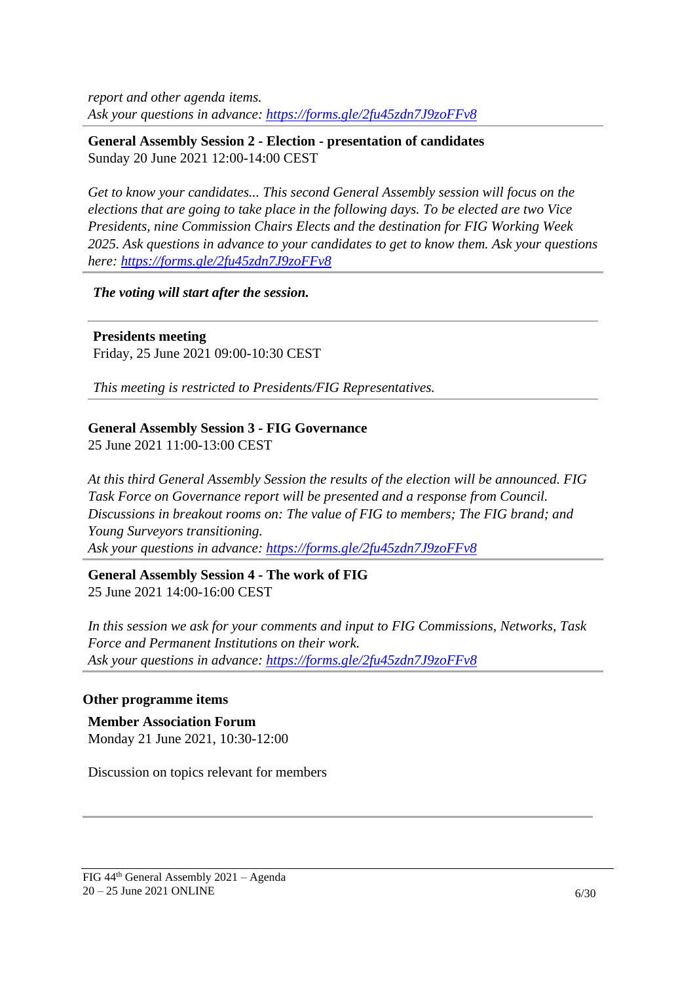*report and other agenda items. Ask your questions in advance: <https://forms.gle/2fu45zdn7J9zoFFv8>*

**General Assembly Session 2 - Election - presentation of candidates** Sunday 20 June 2021 12:00-14:00 CEST

*Get to know your candidates... This second General Assembly session will focus on the elections that are going to take place in the following days. To be elected are two Vice Presidents, nine Commission Chairs Elects and the destination for FIG Working Week 2025. Ask questions in advance to your candidates to get to know them. Ask your questions here: <https://forms.gle/2fu45zdn7J9zoFFv8>*

*The voting will start after the session.*

**Presidents meeting** Friday, 25 June 2021 09:00-10:30 CEST

*This meeting is restricted to Presidents/FIG Representatives.*

### **General Assembly Session 3 - FIG Governance**

25 June 2021 11:00-13:00 CEST

*At this third General Assembly Session the results of the election will be announced. FIG Task Force on Governance report will be presented and a response from Council. Discussions in breakout rooms on: The value of FIG to members; The FIG brand; and Young Surveyors transitioning. Ask your questions in advance: <https://forms.gle/2fu45zdn7J9zoFFv8>*

**General Assembly Session 4 - The work of FIG** 25 June 2021 14:00-16:00 CEST

*In this session we ask for your comments and input to FIG Commissions, Networks, Task Force and Permanent Institutions on their work. Ask your questions in advance: <https://forms.gle/2fu45zdn7J9zoFFv8>*

#### **Other programme items**

**Member Association Forum** Monday 21 June 2021, 10:30-12:00

Discussion on topics relevant for members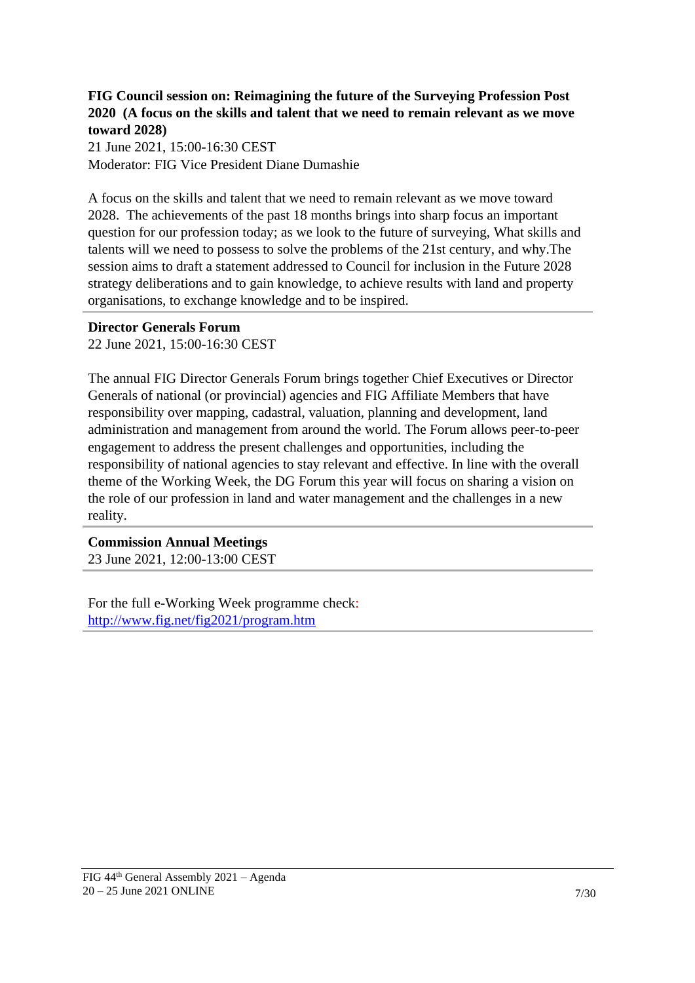## **FIG Council session on: Reimagining the future of the Surveying Profession Post 2020 (A focus on the skills and talent that we need to remain relevant as we move toward 2028)**

21 June 2021, 15:00-16:30 CEST Moderator: FIG Vice President Diane Dumashie

A focus on the skills and talent that we need to remain relevant as we move toward 2028. The achievements of the past 18 months brings into sharp focus an important question for our profession today; as we look to the future of surveying, What skills and talents will we need to possess to solve the problems of the 21st century, and why.The session aims to draft a statement addressed to Council for inclusion in the Future 2028 strategy deliberations and to gain knowledge, to achieve results with land and property organisations, to exchange knowledge and to be inspired.

#### **Director Generals Forum**

22 June 2021, 15:00-16:30 CEST

The annual FIG Director Generals Forum brings together Chief Executives or Director Generals of national (or provincial) agencies and FIG Affiliate Members that have responsibility over mapping, cadastral, valuation, planning and development, land administration and management from around the world. The Forum allows peer-to-peer engagement to address the present challenges and opportunities, including the responsibility of national agencies to stay relevant and effective. In line with the overall theme of the Working Week, the DG Forum this year will focus on sharing a vision on the role of our profession in land and water management and the challenges in a new reality.

**Commission Annual Meetings** 23 June 2021, 12:00-13:00 CEST

For the full e-Working Week programme check: <http://www.fig.net/fig2021/program.htm>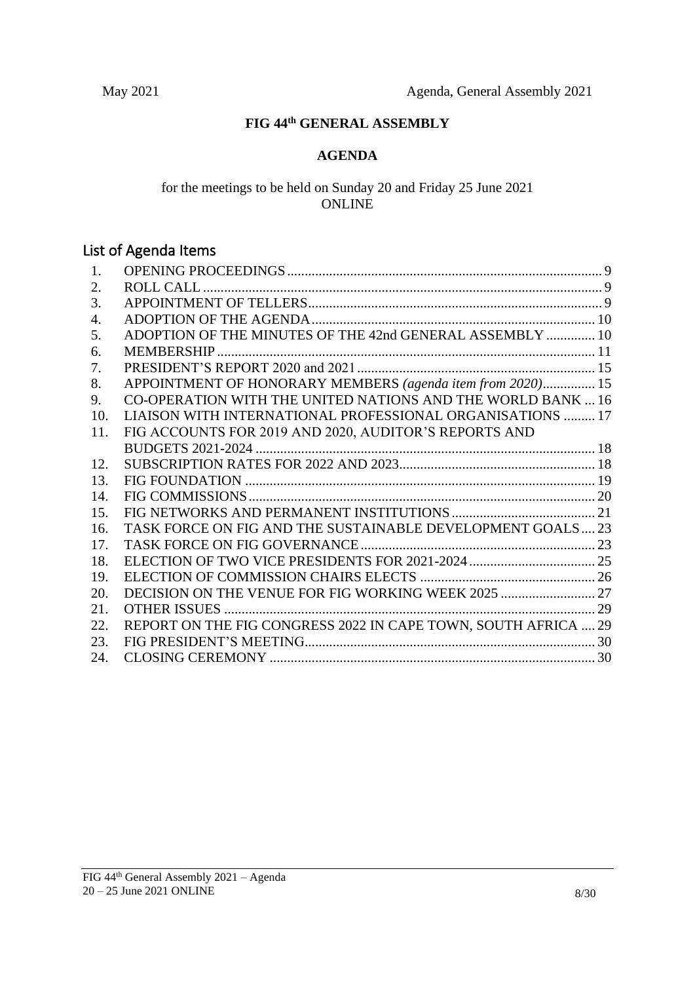## **FIG 44th GENERAL ASSEMBLY**

#### **AGENDA**

### for the meetings to be held on Sunday 20 and Friday 25 June 2021 ONLINE

# List of Agenda Items

| 1.  |                                                                |  |
|-----|----------------------------------------------------------------|--|
| 2.  |                                                                |  |
| 3.  |                                                                |  |
| 4.  |                                                                |  |
| 5.  | ADOPTION OF THE MINUTES OF THE 42nd GENERAL ASSEMBLY  10       |  |
| 6.  |                                                                |  |
| 7.  |                                                                |  |
| 8.  | APPOINTMENT OF HONORARY MEMBERS (agenda item from 2020) 15     |  |
| 9.  | CO-OPERATION WITH THE UNITED NATIONS AND THE WORLD BANK  16    |  |
| 10. | LIAISON WITH INTERNATIONAL PROFESSIONAL ORGANISATIONS  17      |  |
| 11. | FIG ACCOUNTS FOR 2019 AND 2020, AUDITOR'S REPORTS AND          |  |
|     |                                                                |  |
| 12. |                                                                |  |
| 13. |                                                                |  |
| 14. |                                                                |  |
| 15. |                                                                |  |
| 16. | TASK FORCE ON FIG AND THE SUSTAINABLE DEVELOPMENT GOALS23      |  |
| 17. |                                                                |  |
| 18. |                                                                |  |
| 19. |                                                                |  |
| 20. | DECISION ON THE VENUE FOR FIG WORKING WEEK 2025  27            |  |
| 21. |                                                                |  |
| 22. | REPORT ON THE FIG CONGRESS 2022 IN CAPE TOWN, SOUTH AFRICA  29 |  |
| 23. |                                                                |  |
| 24. |                                                                |  |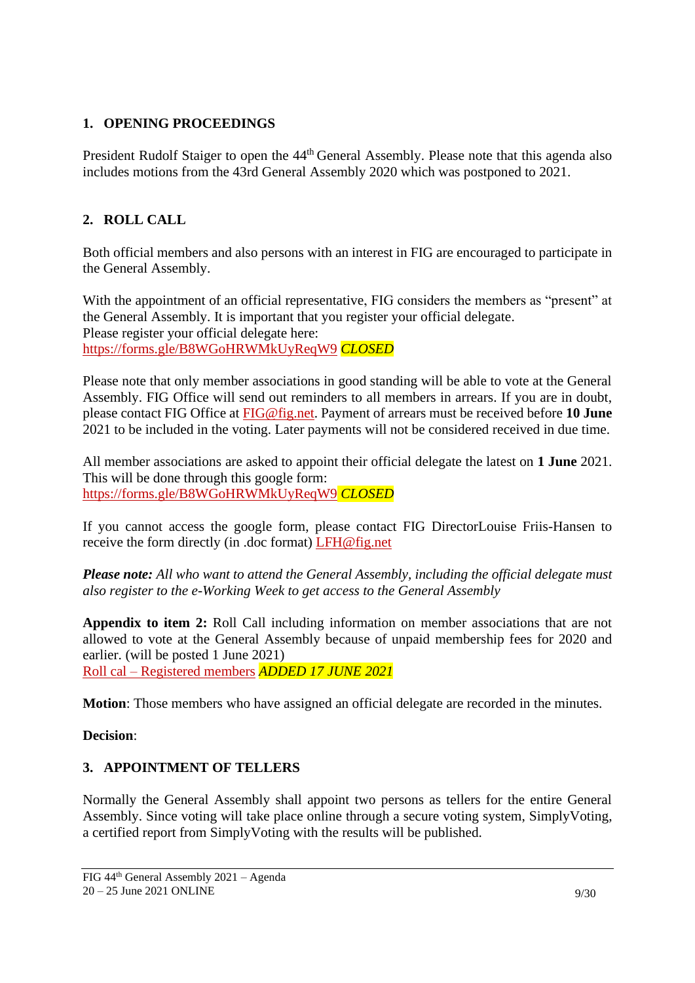## <span id="page-8-0"></span>**1. OPENING PROCEEDINGS**

President Rudolf Staiger to open the 44<sup>th</sup> General Assembly. Please note that this agenda also includes motions from the 43rd General Assembly 2020 which was postponed to 2021.

## <span id="page-8-1"></span>**2. ROLL CALL**

Both official members and also persons with an interest in FIG are encouraged to participate in the General Assembly.

With the appointment of an official representative, FIG considers the members as "present" at the General Assembly. It is important that you register your official delegate. Please register your official delegate here: <https://forms.gle/B8WGoHRWMkUyReqW9> *CLOSED*

Please note that only member associations in good standing will be able to vote at the General Assembly. FIG Office will send out reminders to all members in arrears. If you are in doubt, please contact FIG Office at [FIG@fig.net.](mailto:FIG@fig.net) Payment of arrears must be received before **10 June** 2021 to be included in the voting. Later payments will not be considered received in due time.

All member associations are asked to appoint their official delegate the latest on **1 June** 2021. This will be done through this google form: <https://forms.gle/B8WGoHRWMkUyReqW9> *CLOSED*

If you cannot access the google form, please contact FIG DirectorLouise Friis-Hansen to receive the form directly (in .doc format) [LFH@fig.net](mailto:LFH@fig.net)

*Please note: All who want to attend the General Assembly, including the official delegate must also register to the e-Working Week to get access to the General Assembly*

**Appendix to item 2:** Roll Call including information on member associations that are not allowed to vote at the General Assembly because of unpaid membership fees for 2020 and earlier. (will be posted 1 June 2021) Roll cal – [Registered members](http://fig.net/organisation/general_assembly/agendas_and_minutes/2021/roll_call_2021_per-06_16.pdf) *ADDED 17 JUNE 2021*

**Motion**: Those members who have assigned an official delegate are recorded in the minutes.

### **Decision**:

### <span id="page-8-2"></span>**3. APPOINTMENT OF TELLERS**

Normally the General Assembly shall appoint two persons as tellers for the entire General Assembly. Since voting will take place online through a secure voting system, SimplyVoting, a certified report from SimplyVoting with the results will be published.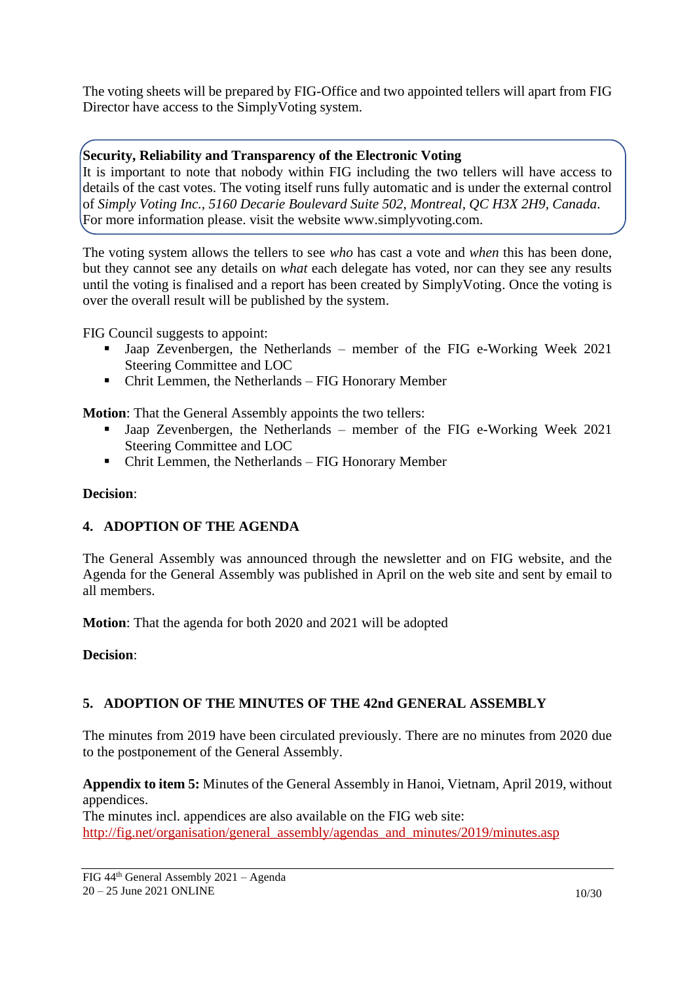The voting sheets will be prepared by FIG-Office and two appointed tellers will apart from FIG Director have access to the SimplyVoting system.

## **Security, Reliability and Transparency of the Electronic Voting**

It is important to note that nobody within FIG including the two tellers will have access to details of the cast votes. The voting itself runs fully automatic and is under the external control of *Simply Voting Inc., 5160 Decarie Boulevard Suite 502, Montreal, QC H3X 2H9, Canada*. For more information please. visit the website www.simplyvoting.com.

The voting system allows the tellers to see *who* has cast a vote and *when* this has been done, but they cannot see any details on *what* each delegate has voted, nor can they see any results until the voting is finalised and a report has been created by SimplyVoting. Once the voting is over the overall result will be published by the system.

FIG Council suggests to appoint:

- Jaap Zevenbergen, the Netherlands member of the FIG e-Working Week 2021 Steering Committee and LOC
- Chrit Lemmen, the Netherlands FIG Honorary Member

**Motion**: That the General Assembly appoints the two tellers:

- Jaap Zevenbergen, the Netherlands member of the FIG e-Working Week 2021 Steering Committee and LOC
- Chrit Lemmen, the Netherlands FIG Honorary Member

### **Decision**:

## <span id="page-9-0"></span>**4. ADOPTION OF THE AGENDA**

The General Assembly was announced through the newsletter and on FIG website, and the Agenda for the General Assembly was published in April on the web site and sent by email to all members.

**Motion**: That the agenda for both 2020 and 2021 will be adopted

**Decision**:

## <span id="page-9-1"></span>**5. ADOPTION OF THE MINUTES OF THE 42nd GENERAL ASSEMBLY**

The minutes from 2019 have been circulated previously. There are no minutes from 2020 due to the postponement of the General Assembly.

**Appendix to item 5:** Minutes of the General Assembly in Hanoi, Vietnam, April 2019, without appendices.

The minutes incl. appendices are also available on the FIG web site: [http://fig.net/organisation/general\\_assembly/agendas\\_and\\_minutes/2019/minutes.asp](http://fig.net/organisation/general_assembly/agendas_and_minutes/2019/minutes.asp)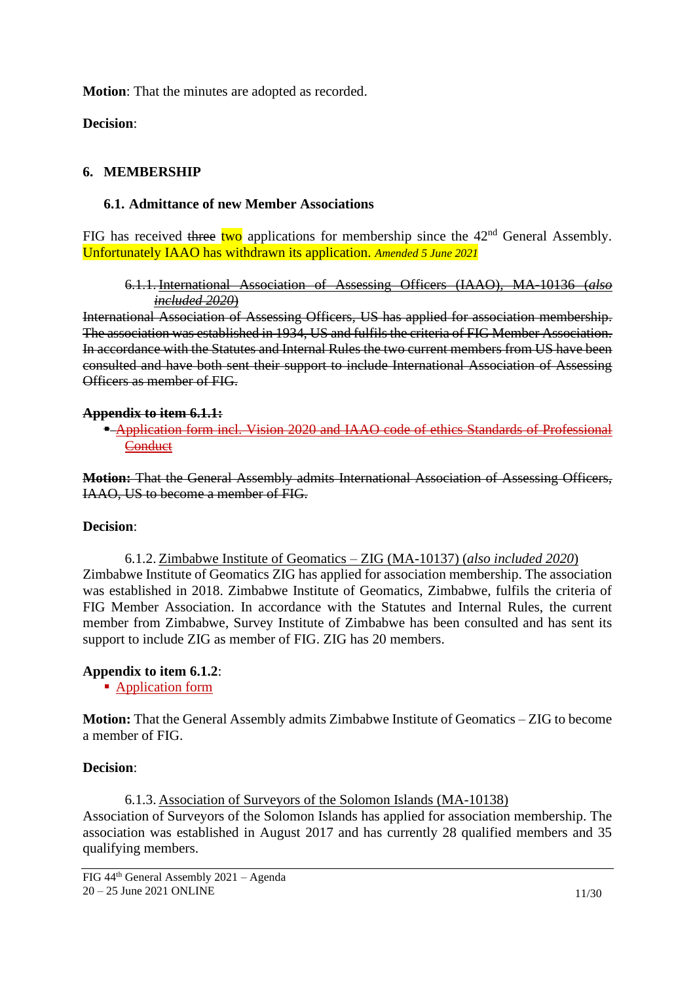**Motion**: That the minutes are adopted as recorded.

**Decision**:

#### <span id="page-10-0"></span>**6. MEMBERSHIP**

#### **6.1. Admittance of new Member Associations**

FIG has received three two applications for membership since the 42<sup>nd</sup> General Assembly. Unfortunately IAAO has withdrawn its application. *Amended 5 June 2021*

#### 6.1.1. International Association of Assessing Officers (IAAO), MA-10136 (*also included 2020*)

International Association of Assessing Officers, US has applied for association membership. The association was established in 1934, US and fulfils the criteria of FIG Member Association. In accordance with the Statutes and Internal Rules the two current members from US have been consulted and have both sent their support to include International Association of Assessing Officers as member of FIG.

#### **Appendix to item 6.1.1:**

▪ Application form incl. [Vision 2020 and IAAO code of ethics Standards of Professional](https://fig.net/organisation/general_assembly/agendas_and_minutes/2020/agenda/app_06_01_MA-IAAO-application.pdf)  **[Conduct](https://fig.net/organisation/general_assembly/agendas_and_minutes/2020/agenda/app_06_01_MA-IAAO-application.pdf)** 

**Motion:** That the General Assembly admits International Association of Assessing Officers, IAAO, US to become a member of FIG.

#### **Decision**:

6.1.2. Zimbabwe Institute of Geomatics – ZIG (MA-10137) (*also included 2020*) Zimbabwe Institute of Geomatics ZIG has applied for association membership. The association was established in 2018. Zimbabwe Institute of Geomatics, Zimbabwe, fulfils the criteria of FIG Member Association. In accordance with the Statutes and Internal Rules, the current member from Zimbabwe, Survey Institute of Zimbabwe has been consulted and has sent its support to include ZIG as member of FIG. ZIG has 20 members.

#### **Appendix to item 6.1.2**:

■ [Application form](https://fig.net/organisation/general_assembly/agendas_and_minutes/2020/agenda/app_06_02_ZIG_application.pdf)

**Motion:** That the General Assembly admits Zimbabwe Institute of Geomatics – ZIG to become a member of FIG.

#### **Decision**:

6.1.3. Association of Surveyors of the Solomon Islands (MA-10138)

Association of Surveyors of the Solomon Islands has applied for association membership. The association was established in August 2017 and has currently 28 qualified members and 35 qualifying members.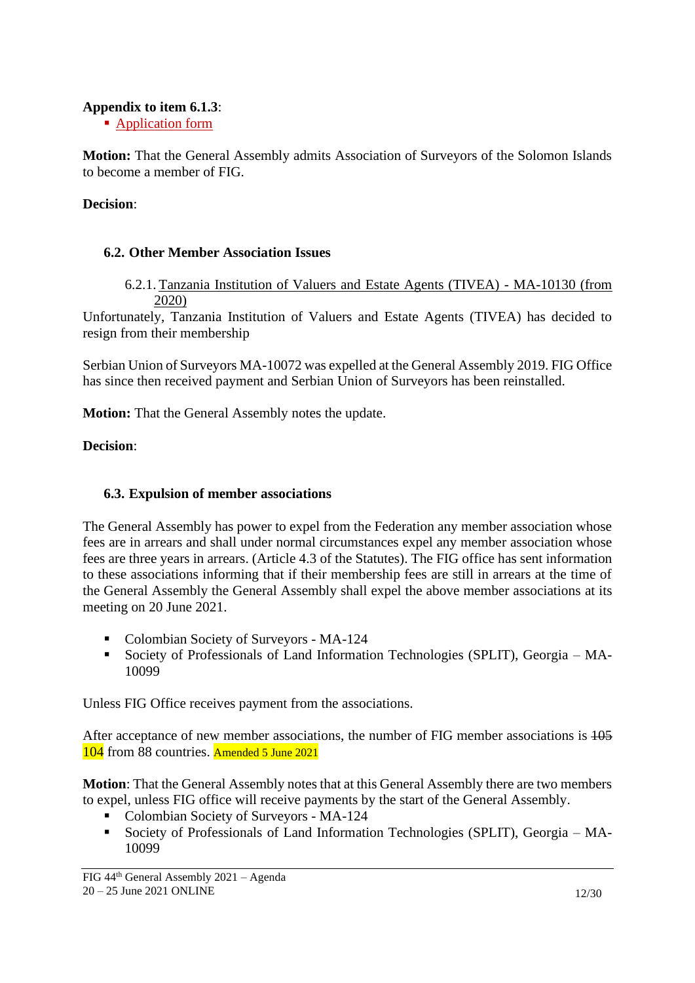### **Appendix to item 6.1.3**:

■ [Application](http://fig.net/organisation/general_assembly/agendas_and_minutes/2021/agenda/app_06_01_03_solomon_islands_MA-FIG-application.pdf) form

**Motion:** That the General Assembly admits Association of Surveyors of the Solomon Islands to become a member of FIG.

## **Decision**:

### **6.2. Other Member Association Issues**

6.2.1. Tanzania Institution of Valuers and Estate Agents (TIVEA) - MA-10130 (from 2020)

Unfortunately, Tanzania Institution of Valuers and Estate Agents (TIVEA) has decided to resign from their membership

Serbian Union of Surveyors MA-10072 was expelled at the General Assembly 2019. FIG Office has since then received payment and Serbian Union of Surveyors has been reinstalled.

**Motion:** That the General Assembly notes the update.

**Decision**:

## **6.3. Expulsion of member associations**

The General Assembly has power to expel from the Federation any member association whose fees are in arrears and shall under normal circumstances expel any member association whose fees are three years in arrears. (Article 4.3 of the Statutes). The FIG office has sent information to these associations informing that if their membership fees are still in arrears at the time of the General Assembly the General Assembly shall expel the above member associations at its meeting on 20 June 2021.

- Colombian Society of Surveyors MA-124
- Society of Professionals of Land Information Technologies (SPLIT), Georgia MA-10099

Unless FIG Office receives payment from the associations.

After acceptance of new member associations, the number of FIG member associations is 105 104 from 88 countries. Amended 5 June 2021

**Motion**: That the General Assembly notes that at this General Assembly there are two members to expel, unless FIG office will receive payments by the start of the General Assembly.

- Colombian Society of Surveyors MA-124
- Society of Professionals of Land Information Technologies (SPLIT), Georgia MA-10099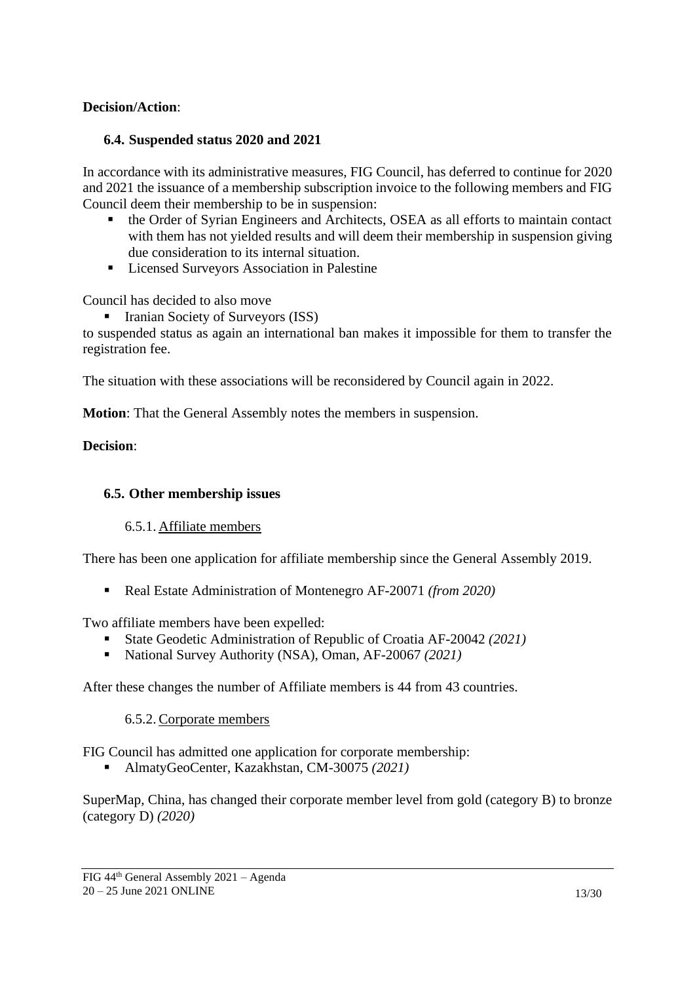### **Decision/Action**:

## **6.4. Suspended status 2020 and 2021**

In accordance with its administrative measures, FIG Council, has deferred to continue for 2020 and 2021 the issuance of a membership subscription invoice to the following members and FIG Council deem their membership to be in suspension:

- the Order of Syrian Engineers and Architects, OSEA as all efforts to maintain contact with them has not yielded results and will deem their membership in suspension giving due consideration to its internal situation.
- Licensed Surveyors Association in Palestine

Council has decided to also move

■ Iranian Society of Surveyors (ISS)

to suspended status as again an international ban makes it impossible for them to transfer the registration fee.

The situation with these associations will be reconsidered by Council again in 2022.

**Motion**: That the General Assembly notes the members in suspension.

#### **Decision**:

#### **6.5. Other membership issues**

#### 6.5.1. Affiliate members

There has been one application for affiliate membership since the General Assembly 2019.

■ Real Estate Administration of Montenegro AF-20071 *(from 2020)* 

Two affiliate members have been expelled:

- State Geodetic Administration of Republic of Croatia AF-20042 *(2021)*
- National Survey Authority (NSA), Oman, AF-20067 *(2021)*

After these changes the number of Affiliate members is 44 from 43 countries.

#### 6.5.2. Corporate members

FIG Council has admitted one application for corporate membership:

▪ AlmatyGeoCenter, Kazakhstan, CM-30075 *(2021)*

SuperMap, China, has changed their corporate member level from gold (category B) to bronze (category D) *(2020)*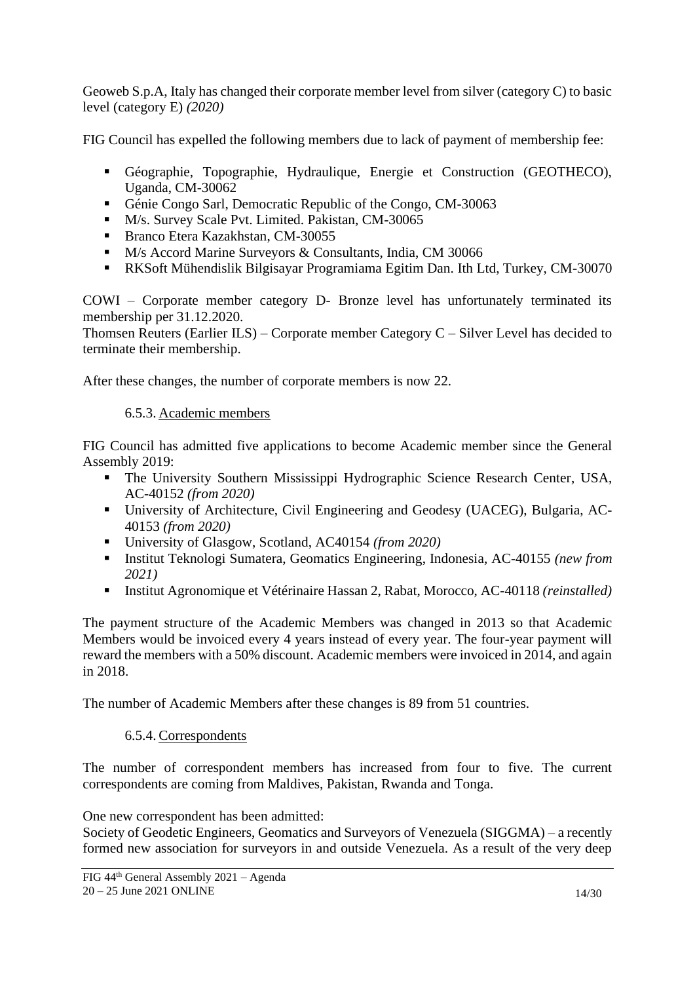Geoweb S.p.A, Italy has changed their corporate member level from silver (category C) to basic level (category E) *(2020)*

FIG Council has expelled the following members due to lack of payment of membership fee:

- Géographie, Topographie, Hydraulique, Energie et Construction (GEOTHECO), Uganda, CM-30062
- Génie Congo Sarl, Democratic Republic of the Congo, CM-30063
- M/s. Survey Scale Pvt. Limited. Pakistan, CM-30065
- Branco Etera Kazakhstan, CM-30055
- M/s Accord Marine Surveyors & Consultants, India, CM 30066
- RKSoft Mühendislik Bilgisayar Programiama Egitim Dan. Ith Ltd, Turkey, CM-30070

COWI – Corporate member category D- Bronze level has unfortunately terminated its membership per 31.12.2020.

Thomsen Reuters (Earlier ILS) – Corporate member Category C – Silver Level has decided to terminate their membership.

After these changes, the number of corporate members is now 22.

## 6.5.3. Academic members

FIG Council has admitted five applications to become Academic member since the General Assembly 2019:

- **•** The University Southern Mississippi Hydrographic Science Research Center, USA, AC-40152 *(from 2020)*
- University of Architecture, Civil Engineering and Geodesy (UACEG), Bulgaria, AC-40153 *(from 2020)*
- University of Glasgow, Scotland, AC40154 *(from 2020)*
- Institut Teknologi Sumatera, Geomatics Engineering, Indonesia, AC-40155 *(new from 2021)*
- Institut Agronomique et Vétérinaire Hassan 2, Rabat, Morocco, AC-40118 *(reinstalled)*

The payment structure of the Academic Members was changed in 2013 so that Academic Members would be invoiced every 4 years instead of every year. The four-year payment will reward the members with a 50% discount. Academic members were invoiced in 2014, and again in 2018.

The number of Academic Members after these changes is 89 from 51 countries.

## 6.5.4. Correspondents

The number of correspondent members has increased from four to five. The current correspondents are coming from Maldives, Pakistan, Rwanda and Tonga.

One new correspondent has been admitted:

Society of Geodetic Engineers, Geomatics and Surveyors of Venezuela (SIGGMA) – a recently formed new association for surveyors in and outside Venezuela. As a result of the very deep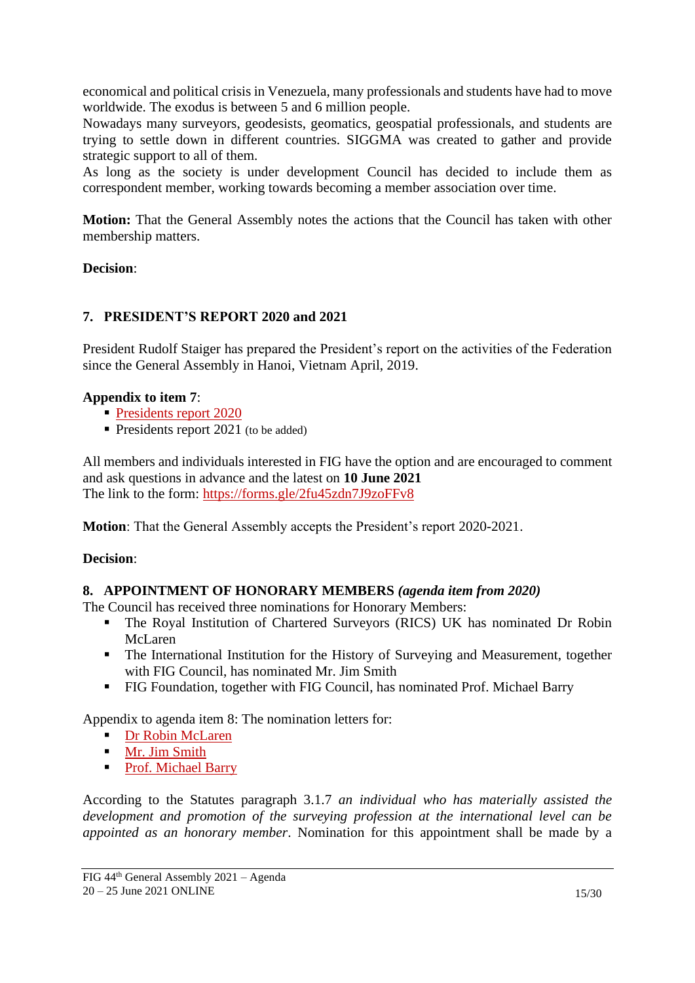economical and political crisis in Venezuela, many professionals and students have had to move worldwide. The exodus is between 5 and 6 million people.

Nowadays many surveyors, geodesists, geomatics, geospatial professionals, and students are trying to settle down in different countries. SIGGMA was created to gather and provide strategic support to all of them.

As long as the society is under development Council has decided to include them as correspondent member, working towards becoming a member association over time.

**Motion:** That the General Assembly notes the actions that the Council has taken with other membership matters.

## **Decision**:

### <span id="page-14-0"></span>**7. PRESIDENT'S REPORT 2020 and 2021**

President Rudolf Staiger has prepared the President's report on the activities of the Federation since the General Assembly in Hanoi, Vietnam April, 2019.

### **Appendix to item 7**:

- **[Presidents report](https://fig.net/organisation/general_assembly/agendas_and_minutes/2020/pres_report.asp) 2020**
- $\blacksquare$  Presidents report 2021 (to be added)

All members and individuals interested in FIG have the option and are encouraged to comment and ask questions in advance and the latest on **10 June 2021** The link to the form: <https://forms.gle/2fu45zdn7J9zoFFv8>

**Motion**: That the General Assembly accepts the President's report 2020-2021.

### **Decision**:

### <span id="page-14-1"></span>**8. APPOINTMENT OF HONORARY MEMBERS** *(agenda item from 2020)*

The Council has received three nominations for Honorary Members:

- **·** The Royal Institution of Chartered Surveyors (RICS) UK has nominated Dr Robin McLaren
- **•** The International Institution for the History of Surveying and Measurement, together with FIG Council, has nominated Mr. Jim Smith
- FIG Foundation, together with FIG Council, has nominated Prof. Michael Barry

Appendix to agenda item 8: The nomination letters for:

- [Dr Robin McLaren](https://fig.net/organisation/general_assembly/agendas_and_minutes/2020/agenda/app_08_01_hon_mem_mclaren_nomination2020.pdf)
- **■** Mr. [Jim Smith](https://fig.net/organisation/general_assembly/agendas_and_minutes/2020/agenda/app_08_02_Jim_Smith-honorary-member_motivation.pdf)
- [Prof. Michael Barry](https://fig.net/organisation/general_assembly/agendas_and_minutes/2020/agenda/app_08_03_Mike_Barry_nomination_letter.pdf)

According to the Statutes paragraph 3.1.7 *an individual who has materially assisted the development and promotion of the surveying profession at the international level can be appointed as an honorary member*. Nomination for this appointment shall be made by a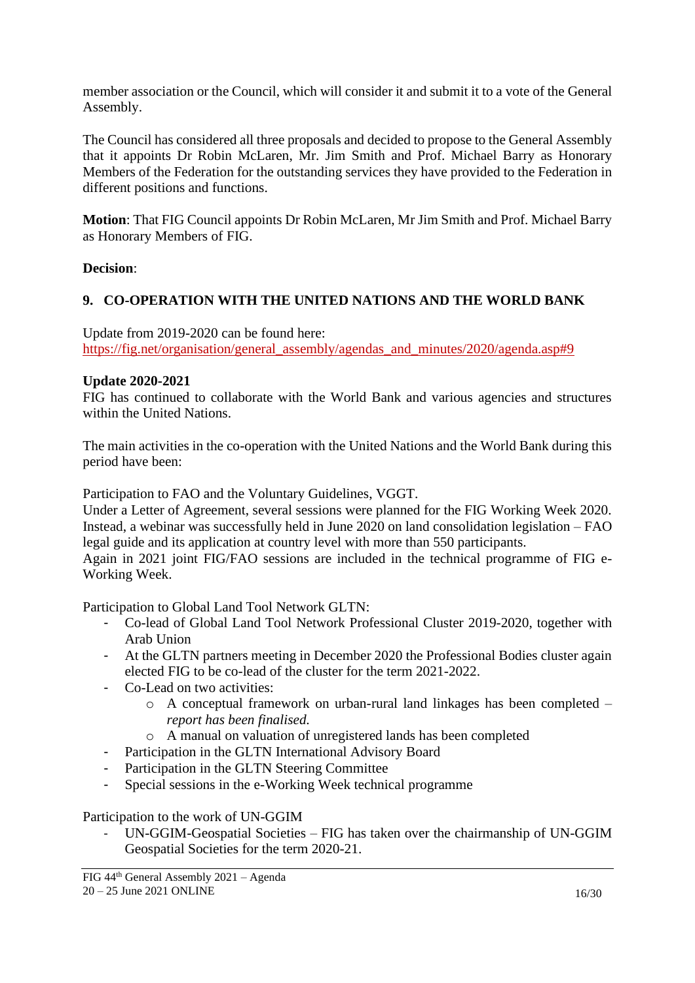member association or the Council, which will consider it and submit it to a vote of the General Assembly.

The Council has considered all three proposals and decided to propose to the General Assembly that it appoints Dr Robin McLaren, Mr. Jim Smith and Prof. Michael Barry as Honorary Members of the Federation for the outstanding services they have provided to the Federation in different positions and functions.

**Motion**: That FIG Council appoints Dr Robin McLaren, Mr Jim Smith and Prof. Michael Barry as Honorary Members of FIG.

## **Decision**:

## <span id="page-15-0"></span>**9. CO-OPERATION WITH THE UNITED NATIONS AND THE WORLD BANK**

Update from 2019-2020 can be found here: [https://fig.net/organisation/general\\_assembly/agendas\\_and\\_minutes/2020/agenda.asp#9](https://fig.net/organisation/general_assembly/agendas_and_minutes/2020/agenda.asp#9)

## **Update 2020-2021**

FIG has continued to collaborate with the World Bank and various agencies and structures within the United Nations.

The main activities in the co-operation with the United Nations and the World Bank during this period have been:

Participation to FAO and the Voluntary Guidelines, VGGT.

Under a Letter of Agreement, several sessions were planned for the FIG Working Week 2020. Instead, a webinar was successfully held in June 2020 on land consolidation legislation – FAO legal guide and its application at country level with more than 550 participants.

Again in 2021 joint FIG/FAO sessions are included in the technical programme of FIG e-Working Week.

Participation to Global Land Tool Network GLTN:

- Co-lead of Global Land Tool Network Professional Cluster 2019-2020, together with Arab Union
- At the GLTN partners meeting in December 2020 the Professional Bodies cluster again elected FIG to be co-lead of the cluster for the term 2021-2022.
- Co-Lead on two activities:
	- o A conceptual framework on urban-rural land linkages has been completed *report has been finalised.*
	- o A manual on valuation of unregistered lands has been completed
- Participation in the GLTN International Advisory Board
- Participation in the GLTN Steering Committee
- Special sessions in the e-Working Week technical programme

Participation to the work of UN-GGIM

- UN-GGIM-Geospatial Societies – FIG has taken over the chairmanship of UN-GGIM Geospatial Societies for the term 2020-21.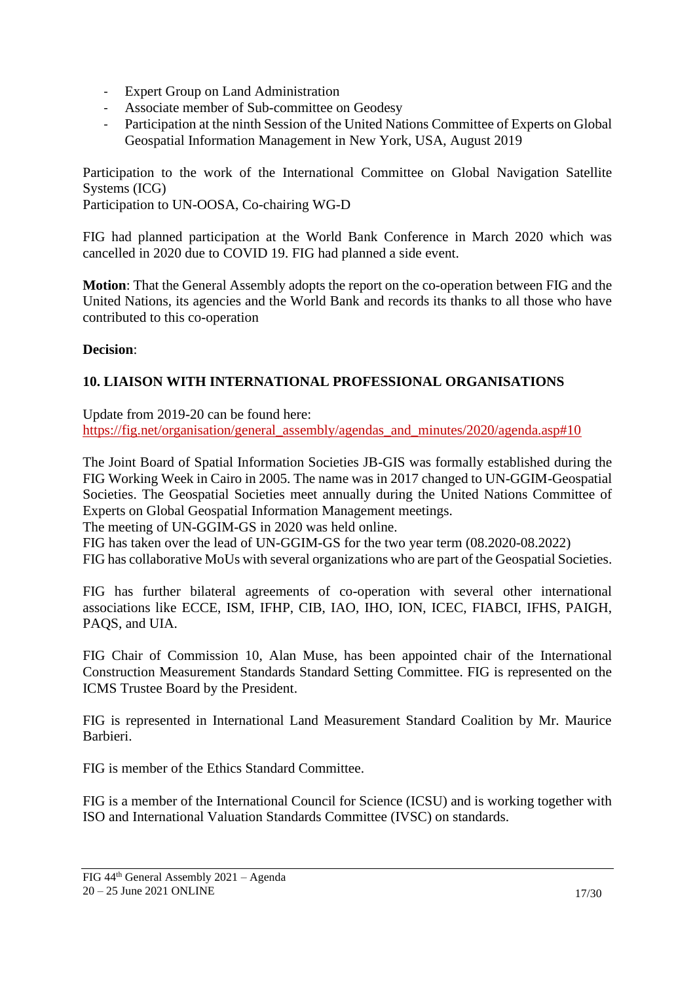- Expert Group on Land Administration
- Associate member of Sub-committee on Geodesy
- Participation at the ninth Session of the United Nations Committee of Experts on Global Geospatial Information Management in New York, USA, August 2019

Participation to the work of the International Committee on Global Navigation Satellite Systems (ICG)

Participation to UN-OOSA, Co-chairing WG-D

FIG had planned participation at the World Bank Conference in March 2020 which was cancelled in 2020 due to COVID 19. FIG had planned a side event.

**Motion**: That the General Assembly adopts the report on the co-operation between FIG and the United Nations, its agencies and the World Bank and records its thanks to all those who have contributed to this co-operation

### **Decision**:

## <span id="page-16-0"></span>**10. LIAISON WITH INTERNATIONAL PROFESSIONAL ORGANISATIONS**

Update from 2019-20 can be found here: [https://fig.net/organisation/general\\_assembly/agendas\\_and\\_minutes/2020/agenda.asp#10](https://fig.net/organisation/general_assembly/agendas_and_minutes/2020/agenda.asp#10)

The Joint Board of Spatial Information Societies JB-GIS was formally established during the FIG Working Week in Cairo in 2005. The name was in 2017 changed to UN-GGIM-Geospatial Societies. The Geospatial Societies meet annually during the United Nations Committee of Experts on Global Geospatial Information Management meetings.

The meeting of UN-GGIM-GS in 2020 was held online.

FIG has taken over the lead of UN-GGIM-GS for the two year term (08.2020-08.2022) FIG has collaborative MoUs with several organizations who are part of the Geospatial Societies.

FIG has further bilateral agreements of co-operation with several other international associations like ECCE, ISM, IFHP, CIB, IAO, IHO, ION, ICEC, FIABCI, IFHS, PAIGH, PAQS, and UIA.

FIG Chair of Commission 10, Alan Muse, has been appointed chair of the International Construction Measurement Standards Standard Setting Committee. FIG is represented on the ICMS Trustee Board by the President.

FIG is represented in International Land Measurement Standard Coalition by Mr. Maurice Barbieri.

FIG is member of the Ethics Standard Committee.

FIG is a member of the International Council for Science (ICSU) and is working together with ISO and International Valuation Standards Committee (IVSC) on standards.

FIG 44th General Assembly 2021 – Agenda  $20 - 25$  June 2021 ONLINE 17/30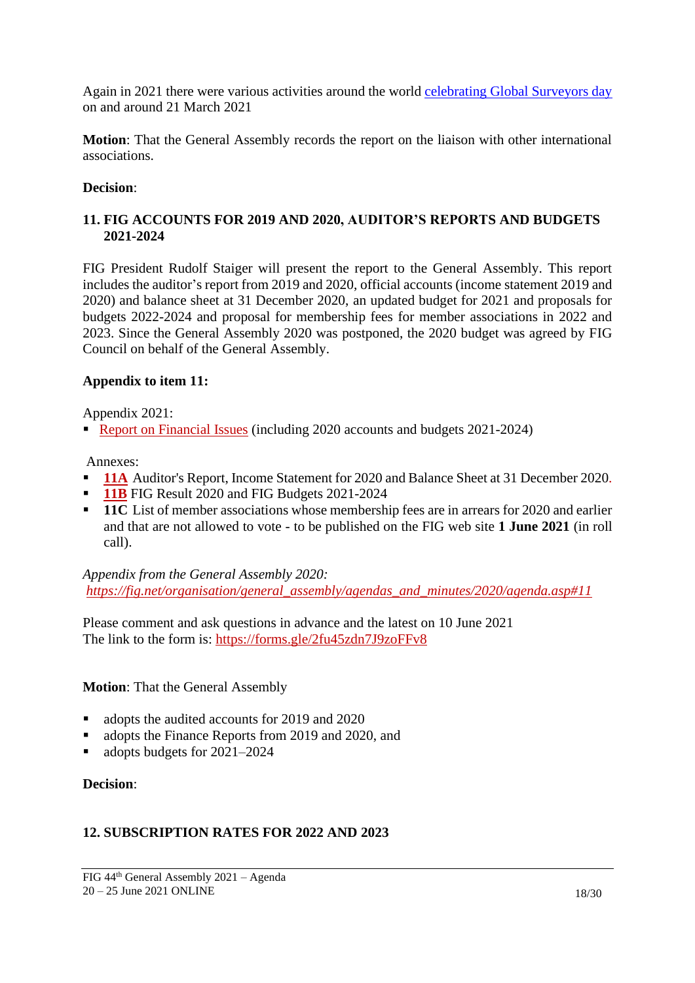Again in 2021 there were various activities around the world [celebrating Global Surveyors day](https://fig.net/news/news_2021/03_surveyors_day.asp) on and around 21 March 2021

**Motion**: That the General Assembly records the report on the liaison with other international associations.

### **Decision**:

#### <span id="page-17-0"></span>**11. FIG ACCOUNTS FOR 2019 AND 2020, AUDITOR'S REPORTS AND BUDGETS 2021-2024**

FIG President Rudolf Staiger will present the report to the General Assembly. This report includes the auditor's report from 2019 and 2020, official accounts (income statement 2019 and 2020) and balance sheet at 31 December 2020, an updated budget for 2021 and proposals for budgets 2022-2024 and proposal for membership fees for member associations in 2022 and 2023. Since the General Assembly 2020 was postponed, the 2020 budget was agreed by FIG Council on behalf of the General Assembly.

#### **Appendix to item 11:**

Appendix 2021:

• [Report on Financial Issues](http://fig.net/organisation/general_assembly/agendas_and_minutes/2021/agenda/app_11_44th_FIG_GA_Finance_Paper.pdf) (including 2020 accounts and budgets 2021-2024)

Annexes:

- [11A](http://fig.net/organisation/general_assembly/agendas_and_minutes/2021/agenda/app_11_A_audited_financial_statement_2020.pdf.pdf) Auditor's Report, Income Statement for 2020 and Balance Sheet at 31 December 2020.
- **[11B](http://fig.net/organisation/general_assembly/agendas_and_minutes/2021/agenda/app_11_B_2021-24_budgets_GA.pdf.pdf)** FIG Result 2020 and FIG Budgets 2021-2024
- **11C** List of member associations whose membership fees are in arrears for 2020 and earlier and that are not allowed to vote - to be published on the FIG web site **1 June 2021** (in roll call).

*Appendix from the General Assembly 2020: [https://fig.net/organisation/general\\_assembly/agendas\\_and\\_minutes/2020/agenda.asp#11](https://fig.net/organisation/general_assembly/agendas_and_minutes/2020/agenda.asp#11)*

Please comment and ask questions in advance and the latest on 10 June 2021 The link to the form is:<https://forms.gle/2fu45zdn7J9zoFFv8>

**Motion**: That the General Assembly

- adopts the audited accounts for 2019 and 2020
- adopts the Finance Reports from 2019 and 2020, and
- adopts budgets for 2021–2024

#### **Decision**:

### <span id="page-17-1"></span>**12. SUBSCRIPTION RATES FOR 2022 AND 2023**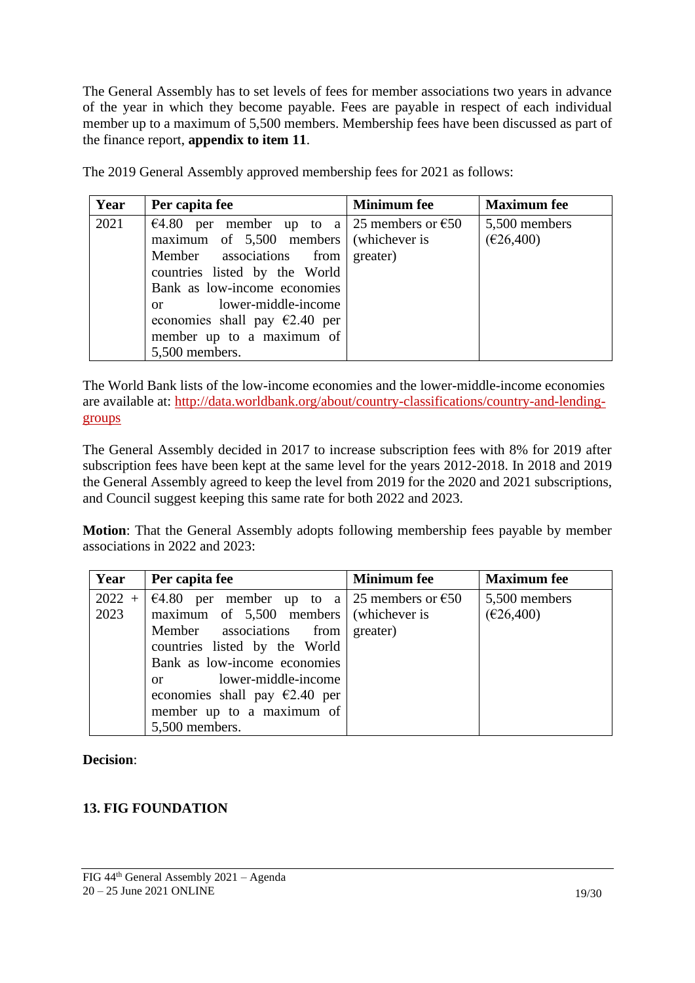The General Assembly has to set levels of fees for member associations two years in advance of the year in which they become payable. Fees are payable in respect of each individual member up to a maximum of 5,500 members. Membership fees have been discussed as part of the finance report, **appendix to item 11**.

| Year | Per capita fee                             | <b>Minimum</b> fee | <b>Maximum</b> fee |
|------|--------------------------------------------|--------------------|--------------------|
| 2021 | €4.80 per member up to a 25 members or €50 |                    | 5,500 members      |
|      | maximum of $5,500$ members (whichever is   |                    | (E26,400)          |
|      | Member associations from greater)          |                    |                    |
|      | countries listed by the World              |                    |                    |
|      | Bank as low-income economies               |                    |                    |
|      | or lower-middle-income                     |                    |                    |
|      | economies shall pay $\epsilon$ 2.40 per    |                    |                    |
|      | member up to a maximum of                  |                    |                    |
|      | 5,500 members.                             |                    |                    |

The 2019 General Assembly approved membership fees for 2021 as follows:

The World Bank lists of the low-income economies and the lower-middle-income economies are available at: [http://data.worldbank.org/about/country-classifications/country-and-lending](http://data.worldbank.org/about/country-classifications/country-and-lending-groups)[groups](http://data.worldbank.org/about/country-classifications/country-and-lending-groups) 

The General Assembly decided in 2017 to increase subscription fees with 8% for 2019 after subscription fees have been kept at the same level for the years 2012-2018. In 2018 and 2019 the General Assembly agreed to keep the level from 2019 for the 2020 and 2021 subscriptions, and Council suggest keeping this same rate for both 2022 and 2023.

**Motion**: That the General Assembly adopts following membership fees payable by member associations in 2022 and 2023:

| Year     | Per capita fee                             | <b>Minimum</b> fee | <b>Maximum</b> fee |
|----------|--------------------------------------------|--------------------|--------------------|
| $2022 +$ | €4.80 per member up to a 25 members or €50 |                    | 5,500 members      |
| 2023     | maximum of $5,500$ members (whichever is   |                    | (E26,400)          |
|          | Member associations from                   | greater)           |                    |
|          | countries listed by the World              |                    |                    |
|          | Bank as low-income economies               |                    |                    |
|          | or lower-middle-income                     |                    |                    |
|          | economies shall pay $\epsilon$ 2.40 per    |                    |                    |
|          | member up to a maximum of                  |                    |                    |
|          | 5,500 members.                             |                    |                    |

**Decision**:

## <span id="page-18-0"></span>**13. FIG FOUNDATION**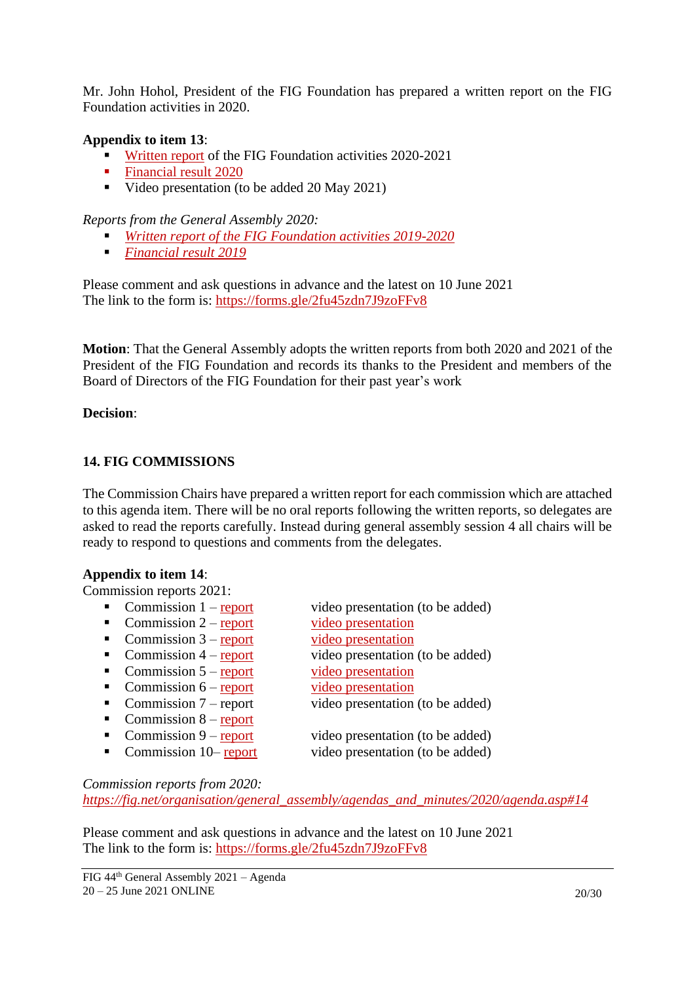Mr. John Hohol, President of the FIG Foundation has prepared a written report on the FIG Foundation activities in 2020.

## **Appendix to item 13**:

- [Written report](http://fig.net/organisation/general_assembly/agendas_and_minutes/2021/agenda/app_13_01_2020_GA_report_foundation.pdf) of the FIG Foundation activities 2020-2021
- [Financial result 2020](http://fig.net/organisation/general_assembly/agendas_and_minutes/2021/agenda/app_13_02_FIG_Foundation_financial_statement_2020.pdf)
- Video presentation (to be added 20 May 2021)

*Reports from the General Assembly 2020:*

- *[Written report of the FIG Foundation activities 2019-2020](https://fig.net/organisation/general_assembly/agendas_and_minutes/2020/agenda/app_13_01_2019_GA_report_foundation.pdf)*
- *[Financial result 2019](https://fig.net/organisation/general_assembly/agendas_and_minutes/2020/agenda/app_13_02_FIG_Foundation_financial_statement_2019.pdf)*

Please comment and ask questions in advance and the latest on 10 June 2021 The link to the form is:<https://forms.gle/2fu45zdn7J9zoFFv8>

**Motion**: That the General Assembly adopts the written reports from both 2020 and 2021 of the President of the FIG Foundation and records its thanks to the President and members of the Board of Directors of the FIG Foundation for their past year's work

#### **Decision**:

### <span id="page-19-0"></span>**14. FIG COMMISSIONS**

The Commission Chairs have prepared a written report for each commission which are attached to this agenda item. There will be no oral reports following the written reports, so delegates are asked to read the reports carefully. Instead during general assembly session 4 all chairs will be ready to respond to questions and comments from the delegates.

#### **Appendix to item 14**:

Commission reports 2021:

- 
- Commission  $2 \frac{\overline{report}}{\overline{report}}$  $2 \frac{\overline{report}}{\overline{report}}$  $2 \frac{\overline{report}}{\overline{report}}$  [video presentation](https://youtu.be/V-8jDyDcSt4)
- 
- 
- 
- 
- 
- **•** Commission  $8 -$  <u>[report](http://fig.net/organisation/general_assembly/agendas_and_minutes/2021/agenda/app_14_08_com8_report_ga_2021.pdf)</u>
- 
- 

• Commission  $1$  – [report](http://fig.net/organisation/general_assembly/agendas_and_minutes/2021/agenda/app_14_01_com1_report_ga_2021.pdf) video presentation (to be added)

- 
- Commission  $3$  [report](http://fig.net/organisation/general_assembly/agendas_and_minutes/2021/agenda/app_14_03_com3_report_ga_2021.pdf) [video presentation](https://youtu.be/T7FrSk0oq_o)
- Commission  $4 \frac{report}{\text{video presentation}}$  $4 \frac{report}{\text{video presentation}}$  $4 \frac{report}{\text{video presentation}}$  (to be added)
- Commission  $5$  [report](http://fig.net/organisation/general_assembly/agendas_and_minutes/2021/agenda/app_14_05_com5_report_ga_2021.pdf) [video presentation](https://youtu.be/X_DBDMCC5rU)
- Commission  $6$  [report](http://fig.net/organisation/general_assembly/agendas_and_minutes/2021/agenda/app_14_06_com6_report_ga_2021.pdf) [video presentation](https://youtu.be/OIQ0yKqQMvM)
- Commission 7 report video presentation (to be added)

• Commission  $9$  – [report](http://fig.net/organisation/general_assembly/agendas_and_minutes/2021/agenda/app_14_08_com8_report_ga_2021.pdf) video presentation (to be added) ■ Commission 10– <u>[report](http://fig.net/organisation/general_assembly/agendas_and_minutes/2021/agenda/app_14_10_com10_report_ga_2021.pdf)</u> video presentation (to be added)

*Commission reports from 2020: [https://fig.net/organisation/general\\_assembly/agendas\\_and\\_minutes/2020/agenda.asp#14](https://fig.net/organisation/general_assembly/agendas_and_minutes/2020/agenda.asp#14)*

Please comment and ask questions in advance and the latest on 10 June 2021 The link to the form is:<https://forms.gle/2fu45zdn7J9zoFFv8>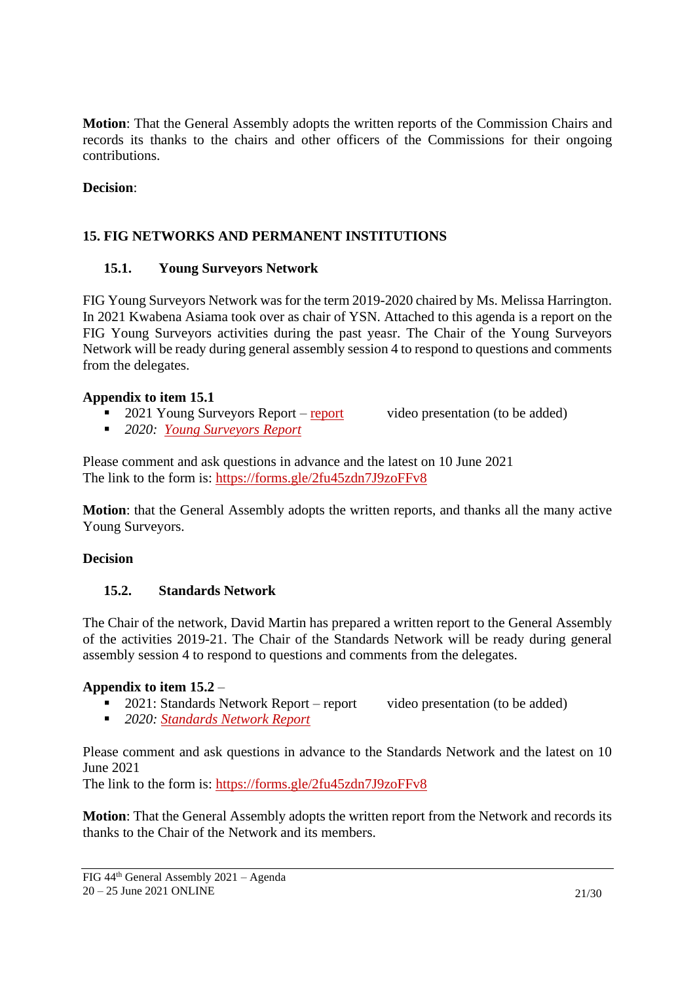**Motion**: That the General Assembly adopts the written reports of the Commission Chairs and records its thanks to the chairs and other officers of the Commissions for their ongoing contributions.

### **Decision**:

## <span id="page-20-0"></span>**15. FIG NETWORKS AND PERMANENT INSTITUTIONS**

### **15.1. Young Surveyors Network**

FIG Young Surveyors Network was for the term 2019-2020 chaired by Ms. Melissa Harrington. In 2021 Kwabena Asiama took over as chair of YSN. Attached to this agenda is a report on the FIG Young Surveyors activities during the past yeasr. The Chair of the Young Surveyors Network will be ready during general assembly session 4 to respond to questions and comments from the delegates.

### **Appendix to item 15.1**

2021 Young Surveyors Report –  $\frac{report}{report}$  $\frac{report}{report}$  $\frac{report}{report}$  video presentation (to be added)

▪ *2020: [Young Surveyors Report](https://fig.net/organisation/general_assembly/agendas_and_minutes/2020/agenda/app_15__01_YSN_ga_2020.pdf)*

Please comment and ask questions in advance and the latest on 10 June 2021 The link to the form is:<https://forms.gle/2fu45zdn7J9zoFFv8>

**Motion**: that the General Assembly adopts the written reports, and thanks all the many active Young Surveyors.

### **Decision**

## **15.2. Standards Network**

The Chair of the network, David Martin has prepared a written report to the General Assembly of the activities 2019-21. The Chair of the Standards Network will be ready during general assembly session 4 to respond to questions and comments from the delegates.

## **Appendix to item 15.2** –

- 2021: Standards Network Report report video presentation (to be added)
- *2020: [Standards Network Report](https://fig.net/organisation/general_assembly/agendas_and_minutes/2020/agenda/app_15_02_Standards_Network_report%20_ga_2020.pdf)*

Please comment and ask questions in advance to the Standards Network and the latest on 10 June 2021

The link to the form is:<https://forms.gle/2fu45zdn7J9zoFFv8>

**Motion**: That the General Assembly adopts the written report from the Network and records its thanks to the Chair of the Network and its members.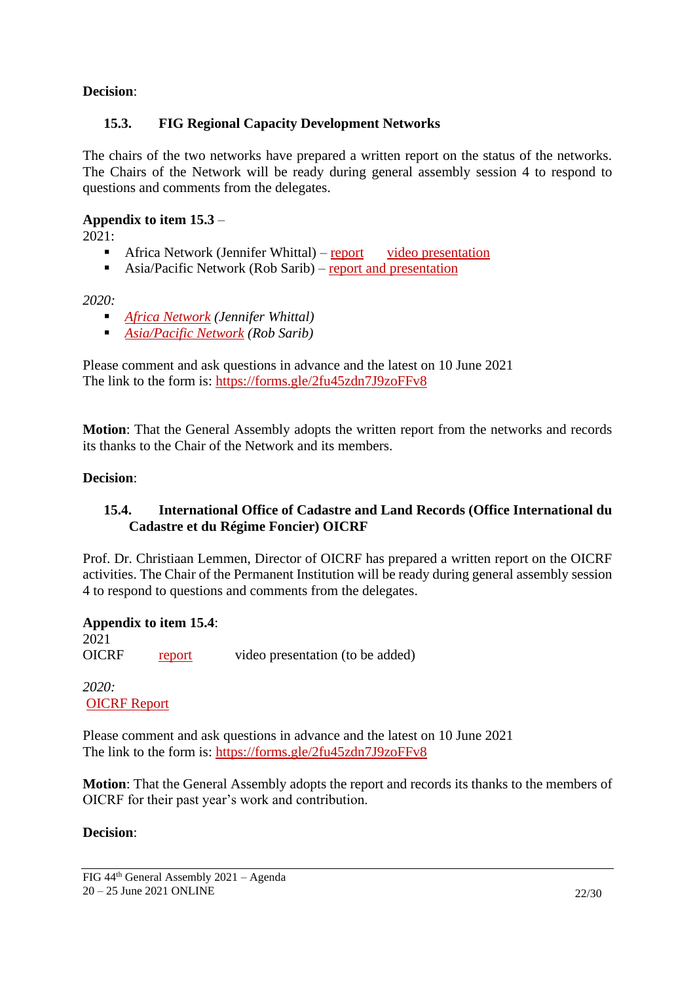## **Decision**:

### **15.3. FIG Regional Capacity Development Networks**

The chairs of the two networks have prepared a written report on the status of the networks. The Chairs of the Network will be ready during general assembly session 4 to respond to questions and comments from the delegates.

### **Appendix to item 15.3** –

2021:

- Africa Network (Jennifer Whittal) [report](http://fig.net/organisation/general_assembly/agendas_and_minutes/2021/agenda/app_15_03_FIG-ARN_Report_ga_2021.pdf) [video presentation](https://youtu.be/O4fv_y4ITyA)
- Asia/Pacific Network (Rob Sarib) [report](http://fig.net/organisation/general_assembly/agendas_and_minutes/2021/agenda/app_15_03_FIG-AP-CDN_GA_Report_2021.pdf) and presentation

*2020:*

- *[Africa Network](https://fig.net/organisation/general_assembly/agendas_and_minutes/2020/agenda/app_15_03_FIG-ARN_Report_ga_2020.pdf) (Jennifer Whittal)*
- *[Asia/Pacific Network](https://fig.net/organisation/general_assembly/agendas_and_minutes/2020/agenda/app_15_03_FIG-AP-CDN_GA_Report_2020.pdf) (Rob Sarib)*

Please comment and ask questions in advance and the latest on 10 June 2021 The link to the form is:<https://forms.gle/2fu45zdn7J9zoFFv8>

**Motion**: That the General Assembly adopts the written report from the networks and records its thanks to the Chair of the Network and its members.

#### **Decision**:

### **15.4. International Office of Cadastre and Land Records (Office International du Cadastre et du Régime Foncier) OICRF**

Prof. Dr. Christiaan Lemmen, Director of OICRF has prepared a written report on the OICRF activities. The Chair of the Permanent Institution will be ready during general assembly session 4 to respond to questions and comments from the delegates.

**Appendix to item 15.4**: 2021 OICRF [report](http://fig.net/organisation/general_assembly/agendas_and_minutes/2021/agenda/app_15_04_OICRFreport_ga_2021.pdf) video presentation (to be added)

*2020:* [OICRF Report](https://fig.net/organisation/general_assembly/agendas_and_minutes/2020/agenda/app_15_04_OICRFreport_ga_2020.pdf)

Please comment and ask questions in advance and the latest on 10 June 2021 The link to the form is:<https://forms.gle/2fu45zdn7J9zoFFv8>

**Motion**: That the General Assembly adopts the report and records its thanks to the members of OICRF for their past year's work and contribution.

### **Decision**:

FIG 44th General Assembly 2021 – Agenda  $20 - 25$  June 2021 ONLINE 22/30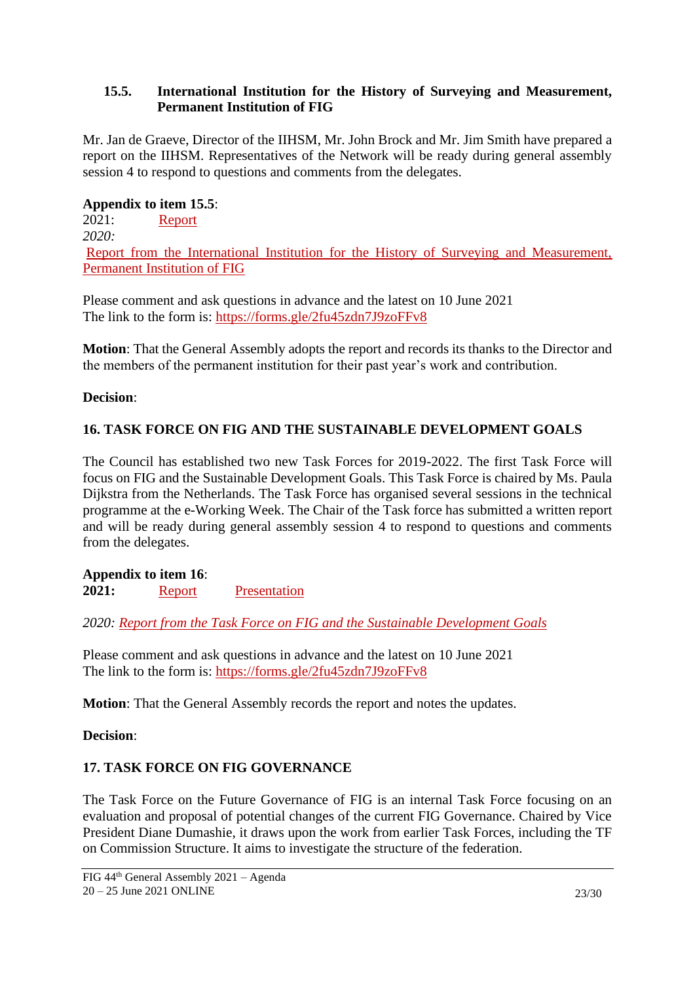### **15.5. International Institution for the History of Surveying and Measurement, Permanent Institution of FIG**

Mr. Jan de Graeve, Director of the IIHSM, Mr. John Brock and Mr. Jim Smith have prepared a report on the IIHSM. Representatives of the Network will be ready during general assembly session 4 to respond to questions and comments from the delegates.

### **Appendix to item 15.5**:

2021: [Report](http://fig.net/organisation/general_assembly/agendas_and_minutes/2021/agenda/app_15_05_IIHSM-history_report_FIG-GA_2021.pdf) *2020:* [Report from the International Institution for the History of Surveying and Measurement,](https://fig.net/organisation/general_assembly/agendas_and_minutes/2020/agenda/app_15_05_iihsm_report_ga_2020.pdf)  [Permanent Institution of FIG](https://fig.net/organisation/general_assembly/agendas_and_minutes/2020/agenda/app_15_05_iihsm_report_ga_2020.pdf)

Please comment and ask questions in advance and the latest on 10 June 2021 The link to the form is:<https://forms.gle/2fu45zdn7J9zoFFv8>

**Motion**: That the General Assembly adopts the report and records its thanks to the Director and the members of the permanent institution for their past year's work and contribution.

### **Decision**:

### <span id="page-22-0"></span>**16. TASK FORCE ON FIG AND THE SUSTAINABLE DEVELOPMENT GOALS**

The Council has established two new Task Forces for 2019-2022. The first Task Force will focus on FIG and the Sustainable Development Goals. This Task Force is chaired by Ms. Paula Dijkstra from the Netherlands. The Task Force has organised several sessions in the technical programme at the e-Working Week. The Chair of the Task force has submitted a written report and will be ready during general assembly session 4 to respond to questions and comments from the delegates.

## **Appendix to item 16**: **2021:** [Report](http://fig.net/organisation/general_assembly/agendas_and_minutes/2021/agenda/app_16_TF-SDGs_report_GA_2021.pdf) [Presentation](http://fig.net/organisation/general_assembly/agendas_and_minutes/2021/agenda/app_16_TF-SDGs_presentation_ga_2021.pdf)

*2020: [Report from the Task Force on FIG and the Sustainable Development Goals](https://fig.net/organisation/general_assembly/agendas_and_minutes/2020/agenda/app_16_TF-SDGs_report_GA_2020.pdf)*

Please comment and ask questions in advance and the latest on 10 June 2021 The link to the form is:<https://forms.gle/2fu45zdn7J9zoFFv8>

**Motion**: That the General Assembly records the report and notes the updates.

### **Decision**:

### <span id="page-22-1"></span>**17. TASK FORCE ON FIG GOVERNANCE**

The Task Force on the Future Governance of FIG is an internal Task Force focusing on an evaluation and proposal of potential changes of the current FIG Governance. Chaired by Vice President Diane Dumashie, it draws upon the work from earlier Task Forces, including the TF on Commission Structure. It aims to investigate the structure of the federation.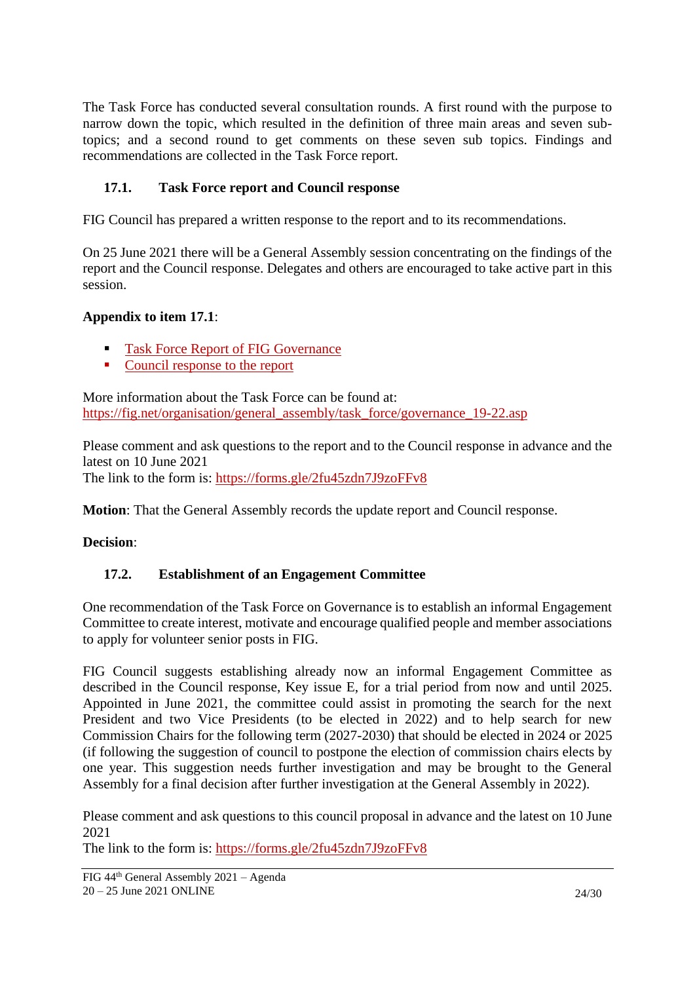The Task Force has conducted several consultation rounds. A first round with the purpose to narrow down the topic, which resulted in the definition of three main areas and seven subtopics; and a second round to get comments on these seven sub topics. Findings and recommendations are collected in the Task Force report.

## **17.1. Task Force report and Council response**

FIG Council has prepared a written response to the report and to its recommendations.

On 25 June 2021 there will be a General Assembly session concentrating on the findings of the report and the Council response. Delegates and others are encouraged to take active part in this session.

## **Appendix to item 17.1**:

- Task Force Report [of FIG Governance](http://fig.net/organisation/general_assembly/agendas_and_minutes/2021/agenda/app_17_01_tf-governance_report_ga_2021.pdf)
- [Council response to the report](http://fig.net/organisation/general_assembly/agendas_and_minutes/2021/agenda/app_17_01_tf-governance_council_response_2021.pdf)

More information about the Task Force can be found at: [https://fig.net/organisation/general\\_assembly/task\\_force/governance\\_19-22.asp](https://fig.net/organisation/general_assembly/task_force/governance_19-22.asp)

Please comment and ask questions to the report and to the Council response in advance and the latest on 10 June 2021 The link to the form is:<https://forms.gle/2fu45zdn7J9zoFFv8>

**Motion**: That the General Assembly records the update report and Council response.

### **Decision**:

### **17.2. Establishment of an Engagement Committee**

One recommendation of the Task Force on Governance is to establish an informal Engagement Committee to create interest, motivate and encourage qualified people and member associations to apply for volunteer senior posts in FIG.

FIG Council suggests establishing already now an informal Engagement Committee as described in the Council response, Key issue E, for a trial period from now and until 2025. Appointed in June 2021, the committee could assist in promoting the search for the next President and two Vice Presidents (to be elected in 2022) and to help search for new Commission Chairs for the following term (2027-2030) that should be elected in 2024 or 2025 (if following the suggestion of council to postpone the election of commission chairs elects by one year. This suggestion needs further investigation and may be brought to the General Assembly for a final decision after further investigation at the General Assembly in 2022).

Please comment and ask questions to this council proposal in advance and the latest on 10 June 2021

The link to the form is:<https://forms.gle/2fu45zdn7J9zoFFv8>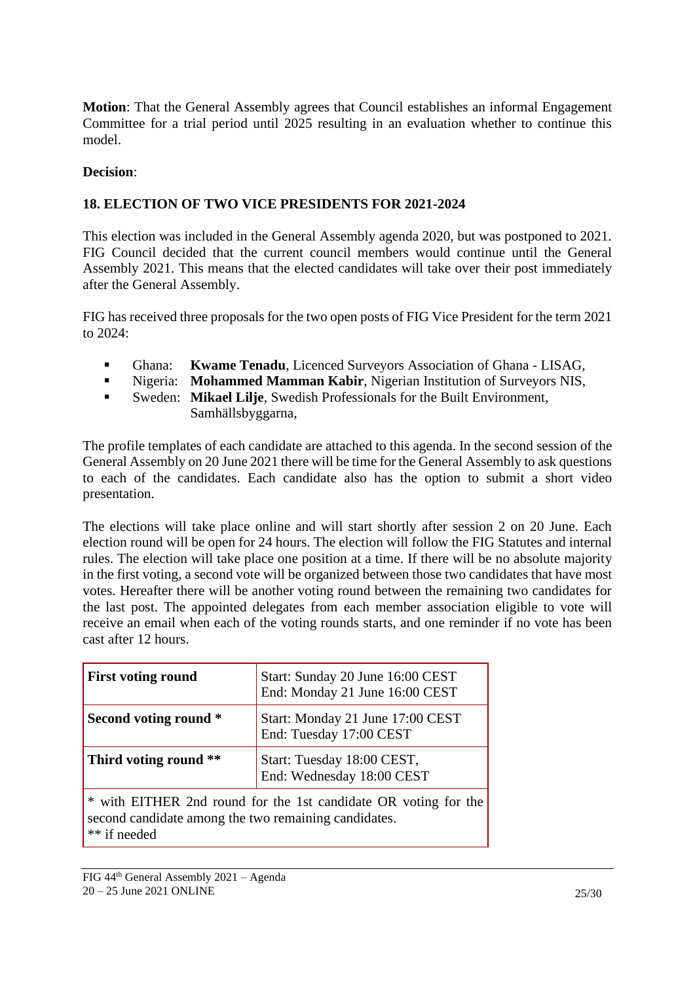**Motion**: That the General Assembly agrees that Council establishes an informal Engagement Committee for a trial period until 2025 resulting in an evaluation whether to continue this model.

### **Decision**:

## <span id="page-24-0"></span>**18. ELECTION OF TWO VICE PRESIDENTS FOR 2021-2024**

This election was included in the General Assembly agenda 2020, but was postponed to 2021. FIG Council decided that the current council members would continue until the General Assembly 2021. This means that the elected candidates will take over their post immediately after the General Assembly.

FIG has received three proposals for the two open posts of FIG Vice President for the term 2021 to 2024:

- Ghana: **Kwame Tenadu**, Licenced Surveyors Association of Ghana LISAG,
- Nigeria: **Mohammed Mamman Kabir**, Nigerian Institution of Surveyors NIS,
- Sweden: Mikael Lilje, Swedish Professionals for the Built Environment, Samhällsbyggarna,

The profile templates of each candidate are attached to this agenda. In the second session of the General Assembly on 20 June 2021 there will be time for the General Assembly to ask questions to each of the candidates. Each candidate also has the option to submit a short video presentation.

The elections will take place online and will start shortly after session 2 on 20 June. Each election round will be open for 24 hours. The election will follow the FIG Statutes and internal rules. The election will take place one position at a time. If there will be no absolute majority in the first voting, a second vote will be organized between those two candidates that have most votes. Hereafter there will be another voting round between the remaining two candidates for the last post. The appointed delegates from each member association eligible to vote will receive an email when each of the voting rounds starts, and one reminder if no vote has been cast after 12 hours.

| <b>First voting round</b>                                                        | Start: Sunday 20 June 16:00 CEST<br>End: Monday 21 June 16:00 CEST |  |
|----------------------------------------------------------------------------------|--------------------------------------------------------------------|--|
| Second voting round *                                                            | Start: Monday 21 June 17:00 CEST<br>End: Tuesday 17:00 CEST        |  |
| Third voting round **<br>Start: Tuesday 18:00 CEST,<br>End: Wednesday 18:00 CEST |                                                                    |  |
| second candidate among the two remaining candidates.                             | * with EITHER 2nd round for the 1st candidate OR voting for the    |  |

<sup>\*\*</sup> if needed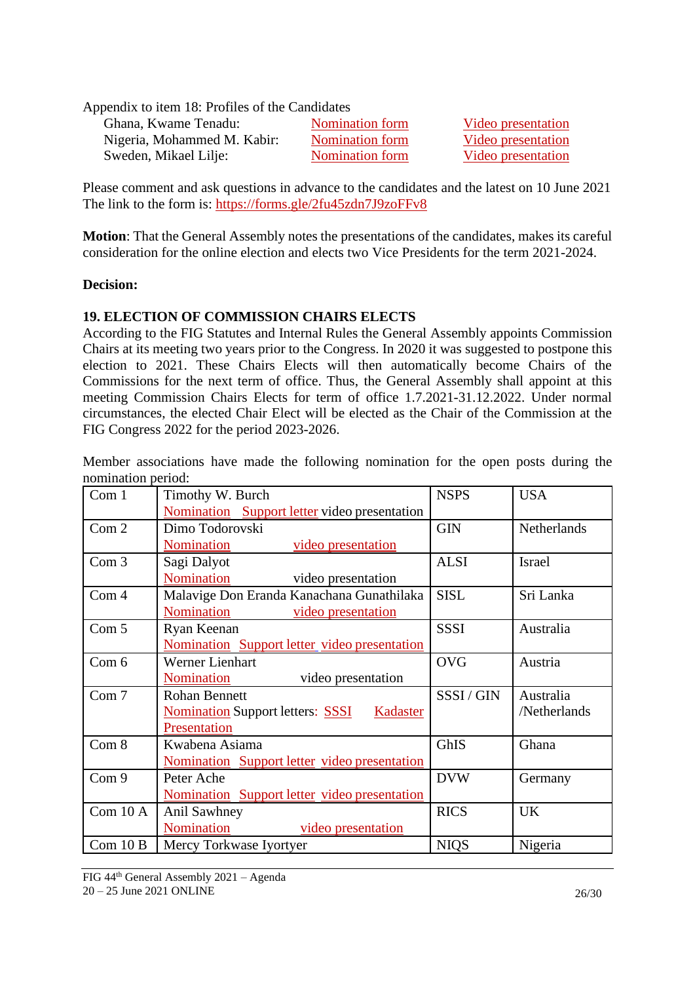Appendix to item 18: Profiles of the Candidates

Ghana, Kwame Tenadu: [Nomination form](https://fig.net/organisation/general_assembly/agendas_and_minutes/2020/agenda/app_18_nomination_kwame_tenadu.pdf) [Video presentation](https://youtu.be/sWfAAAftQS8) Nigeria, Mohammed M. Kabir: [Nomination form](https://fig.net/organisation/general_assembly/agendas_and_minutes/2020/agenda/app_18_nomination_mansur_kabir.pdf) [Video presentation](https://youtu.be/r8-ozVs_F6w) Sweden, Mikael Lilje: [Nomination form](https://fig.net/organisation/general_assembly/agendas_and_minutes/2020/agenda/app_18_nomination_mikael_lilje.pdf) [Video presentation](https://youtu.be/_dzlWL94jKI)

Please comment and ask questions in advance to the candidates and the latest on 10 June 2021 The link to the form is:<https://forms.gle/2fu45zdn7J9zoFFv8>

**Motion**: That the General Assembly notes the presentations of the candidates, makes its careful consideration for the online election and elects two Vice Presidents for the term 2021-2024.

#### **Decision:**

## <span id="page-25-0"></span>**19. ELECTION OF COMMISSION CHAIRS ELECTS**

According to the FIG Statutes and Internal Rules the General Assembly appoints Commission Chairs at its meeting two years prior to the Congress. In 2020 it was suggested to postpone this election to 2021. These Chairs Elects will then automatically become Chairs of the Commissions for the next term of office. Thus, the General Assembly shall appoint at this meeting Commission Chairs Elects for term of office 1.7.2021-31.12.2022. Under normal circumstances, the elected Chair Elect will be elected as the Chair of the Commission at the FIG Congress 2022 for the period 2023-2026.

Member associations have made the following nomination for the open posts during the nomination period:

| Com 1    | Timothy W. Burch                                    | <b>NSPS</b> | <b>USA</b>    |
|----------|-----------------------------------------------------|-------------|---------------|
|          | Nomination Support letter video presentation        |             |               |
| Com 2    | Dimo Todorovski                                     | <b>GIN</b>  | Netherlands   |
|          | <b>Nomination</b><br>video presentation             |             |               |
| Com 3    | Sagi Dalyot                                         | <b>ALSI</b> | <b>Israel</b> |
|          | Nomination video presentation                       |             |               |
| Com 4    | Malavige Don Eranda Kanachana Gunathilaka           | <b>SISL</b> | Sri Lanka     |
|          | Nomination<br>video presentation                    |             |               |
| Com 5    | Ryan Keenan                                         | <b>SSSI</b> | Australia     |
|          | <u>Nomination</u> Support letter video presentation |             |               |
| Com 6    | <b>Werner Lienhart</b>                              | <b>OVG</b>  | Austria       |
|          | Nomination<br>video presentation                    |             |               |
| Com 7    | <b>Rohan Bennett</b>                                | SSSI/GIN    | Australia     |
|          | <b>Nomination Support letters: SSSI</b><br>Kadaster |             | /Netherlands  |
|          | Presentation                                        |             |               |
| Com 8    | Kwabena Asiama                                      | GhIS        | Ghana         |
|          | Nomination Support letter video presentation        |             |               |
| Com 9    | Peter Ache                                          | <b>DVW</b>  | Germany       |
|          | Nomination Support letter video presentation        |             |               |
| Com 10 A | Anil Sawhney                                        | <b>RICS</b> | <b>UK</b>     |
|          | Nomination<br>video presentation                    |             |               |
| Com 10 B | Mercy Torkwase Iyortyer                             | <b>NIQS</b> | Nigeria       |

FIG 44th General Assembly 2021 – Agenda  $20 - 25$  June 2021 ONLINE 26/30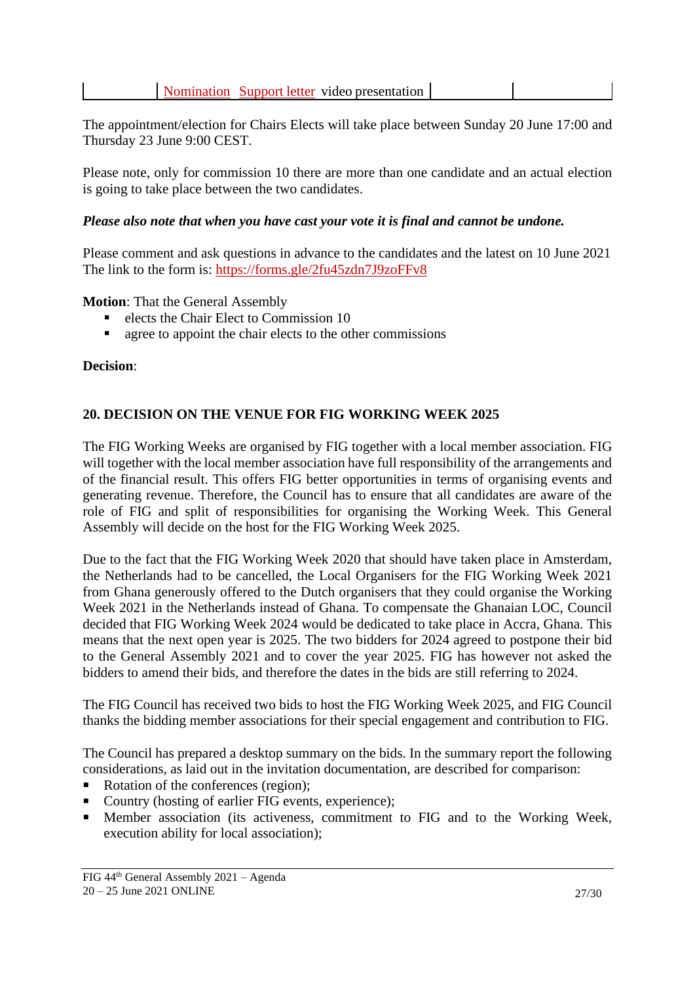| Nomination Support letter video presentation |  |  |
|----------------------------------------------|--|--|
|----------------------------------------------|--|--|

The appointment/election for Chairs Elects will take place between Sunday 20 June 17:00 and Thursday 23 June 9:00 CEST.

Please note, only for commission 10 there are more than one candidate and an actual election is going to take place between the two candidates.

#### *Please also note that when you have cast your vote it is final and cannot be undone.*

Please comment and ask questions in advance to the candidates and the latest on 10 June 2021 The link to the form is:<https://forms.gle/2fu45zdn7J9zoFFv8>

**Motion**: That the General Assembly

- elects the Chair Elect to Commission 10
- agree to appoint the chair elects to the other commissions

**Decision**:

### <span id="page-26-0"></span>**20. DECISION ON THE VENUE FOR FIG WORKING WEEK 2025**

The FIG Working Weeks are organised by FIG together with a local member association. FIG will together with the local member association have full responsibility of the arrangements and of the financial result. This offers FIG better opportunities in terms of organising events and generating revenue. Therefore, the Council has to ensure that all candidates are aware of the role of FIG and split of responsibilities for organising the Working Week. This General Assembly will decide on the host for the FIG Working Week 2025.

Due to the fact that the FIG Working Week 2020 that should have taken place in Amsterdam, the Netherlands had to be cancelled, the Local Organisers for the FIG Working Week 2021 from Ghana generously offered to the Dutch organisers that they could organise the Working Week 2021 in the Netherlands instead of Ghana. To compensate the Ghanaian LOC, Council decided that FIG Working Week 2024 would be dedicated to take place in Accra, Ghana. This means that the next open year is 2025. The two bidders for 2024 agreed to postpone their bid to the General Assembly 2021 and to cover the year 2025. FIG has however not asked the bidders to amend their bids, and therefore the dates in the bids are still referring to 2024.

The FIG Council has received two bids to host the FIG Working Week 2025, and FIG Council thanks the bidding member associations for their special engagement and contribution to FIG.

The Council has prepared a desktop summary on the bids. In the summary report the following considerations, as laid out in the invitation documentation, are described for comparison:

- Rotation of the conferences (region);
- Country (hosting of earlier FIG events, experience);
- **■** Member association (its activeness, commitment to FIG and to the Working Week, execution ability for local association);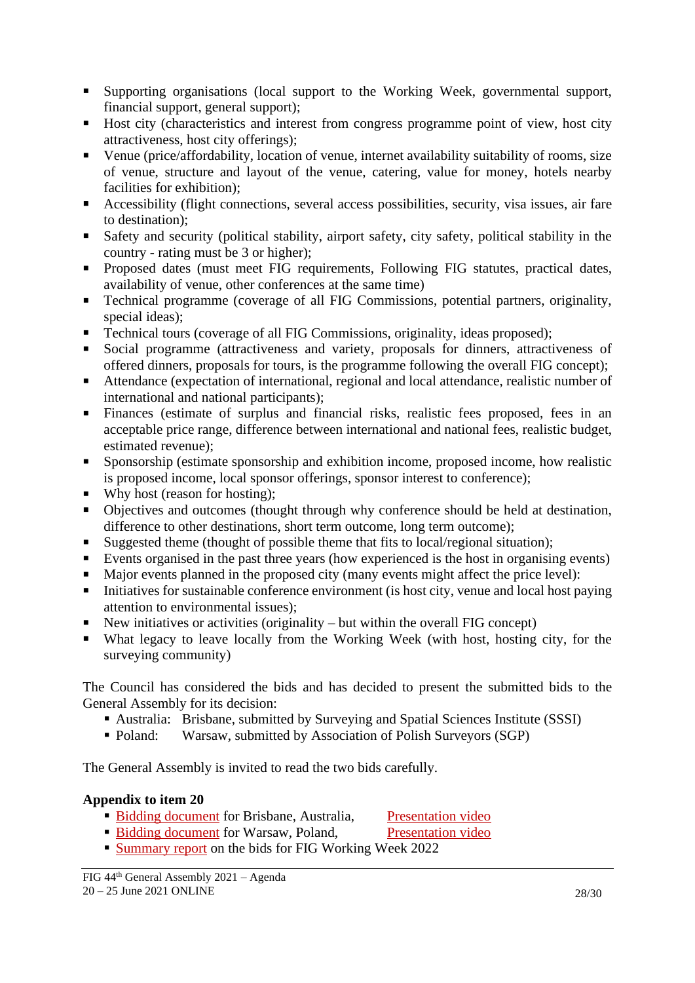- Supporting organisations (local support to the Working Week, governmental support, financial support, general support);
- Host city (characteristics and interest from congress programme point of view, host city attractiveness, host city offerings);
- Venue (price/affordability, location of venue, internet availability suitability of rooms, size of venue, structure and layout of the venue, catering, value for money, hotels nearby facilities for exhibition);
- Accessibility (flight connections, several access possibilities, security, visa issues, air fare to destination);
- Safety and security (political stability, airport safety, city safety, political stability in the country - rating must be 3 or higher);
- Proposed dates (must meet FIG requirements, Following FIG statutes, practical dates, availability of venue, other conferences at the same time)
- Technical programme (coverage of all FIG Commissions, potential partners, originality, special ideas);
- Technical tours (coverage of all FIG Commissions, originality, ideas proposed);
- Social programme (attractiveness and variety, proposals for dinners, attractiveness of offered dinners, proposals for tours, is the programme following the overall FIG concept);
- Attendance (expectation of international, regional and local attendance, realistic number of international and national participants);
- Finances (estimate of surplus and financial risks, realistic fees proposed, fees in an acceptable price range, difference between international and national fees, realistic budget, estimated revenue);
- Sponsorship (estimate sponsorship and exhibition income, proposed income, how realistic is proposed income, local sponsor offerings, sponsor interest to conference);
- Why host (reason for hosting);
- Objectives and outcomes (thought through why conference should be held at destination, difference to other destinations, short term outcome, long term outcome);
- Suggested theme (thought of possible theme that fits to local/regional situation);
- Events organised in the past three years (how experienced is the host in organising events)
- Major events planned in the proposed city (many events might affect the price level):
- Initiatives for sustainable conference environment (is host city, venue and local host paying attention to environmental issues);
- New initiatives or activities (originality  $-$  but within the overall FIG concept)
- What legacy to leave locally from the Working Week (with host, hosting city, for the surveying community)

The Council has considered the bids and has decided to present the submitted bids to the General Assembly for its decision:

- Australia: Brisbane, submitted by Surveying and Spatial Sciences Institute (SSSI)
- Poland: Warsaw, submitted by Association of Polish Surveyors (SGP)

The General Assembly is invited to read the two bids carefully.

### **Appendix to item 20**

■ [Bidding document](https://fig.net/organisation/general_assembly/agendas_and_minutes/2020/agenda/app_20_Australia_bidWW24.pdf) for Brisbane, Australia, [Presentation video](https://youtu.be/a3-R6iXh0Os)

- [Bidding document](https://fig.net/organisation/general_assembly/agendas_and_minutes/2020/agenda/app_20_poland_bidWW24.pdf) for Warsaw, Poland, [Presentation video](https://youtu.be/Ioi359iGYng)
- [Summary report](https://fig.net/organisation/general_assembly/agendas_and_minutes/2020/agenda/app_20_Summary_evaluation-WW2024.pdf) on the bids for FIG Working Week 2022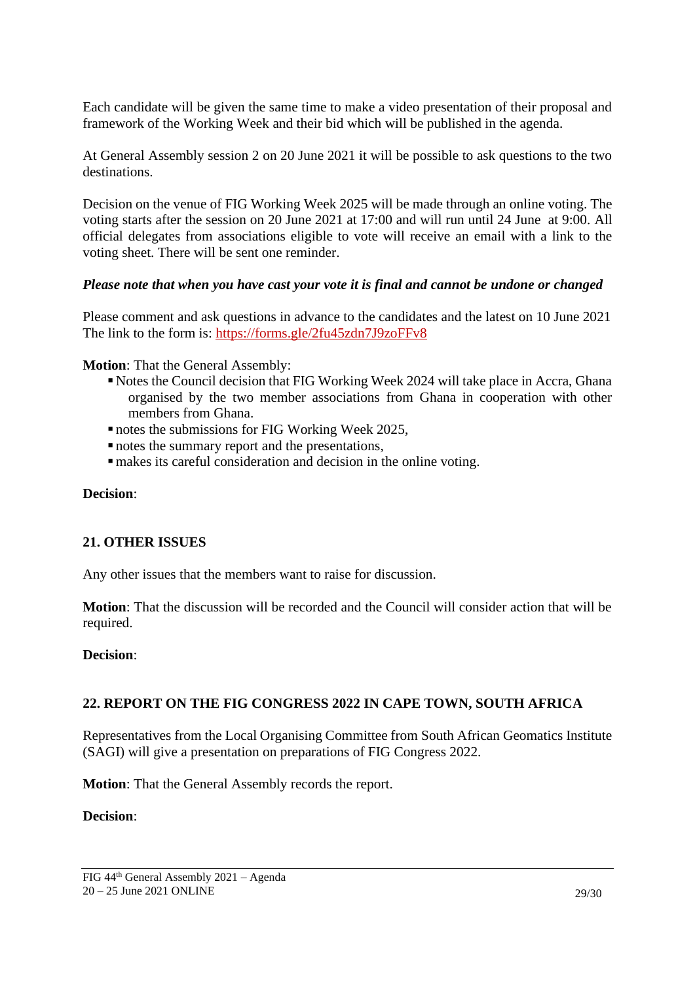Each candidate will be given the same time to make a video presentation of their proposal and framework of the Working Week and their bid which will be published in the agenda.

At General Assembly session 2 on 20 June 2021 it will be possible to ask questions to the two destinations.

Decision on the venue of FIG Working Week 2025 will be made through an online voting. The voting starts after the session on 20 June 2021 at 17:00 and will run until 24 June at 9:00. All official delegates from associations eligible to vote will receive an email with a link to the voting sheet. There will be sent one reminder.

### *Please note that when you have cast your vote it is final and cannot be undone or changed*

Please comment and ask questions in advance to the candidates and the latest on 10 June 2021 The link to the form is:<https://forms.gle/2fu45zdn7J9zoFFv8>

**Motion**: That the General Assembly:

- Notes the Council decision that FIG Working Week 2024 will take place in Accra, Ghana organised by the two member associations from Ghana in cooperation with other members from Ghana.
- notes the submissions for FIG Working Week 2025,
- notes the summary report and the presentations,
- ▪makes its careful consideration and decision in the online voting.

#### **Decision**:

### <span id="page-28-0"></span>**21. OTHER ISSUES**

Any other issues that the members want to raise for discussion.

**Motion**: That the discussion will be recorded and the Council will consider action that will be required.

#### **Decision**:

### <span id="page-28-1"></span>**22. REPORT ON THE FIG CONGRESS 2022 IN CAPE TOWN, SOUTH AFRICA**

Representatives from the Local Organising Committee from South African Geomatics Institute (SAGI) will give a presentation on preparations of FIG Congress 2022.

**Motion**: That the General Assembly records the report.

#### **Decision**:

FIG 44th General Assembly 2021 – Agenda  $20 - 25$  June 2021 ONLINE 29/30